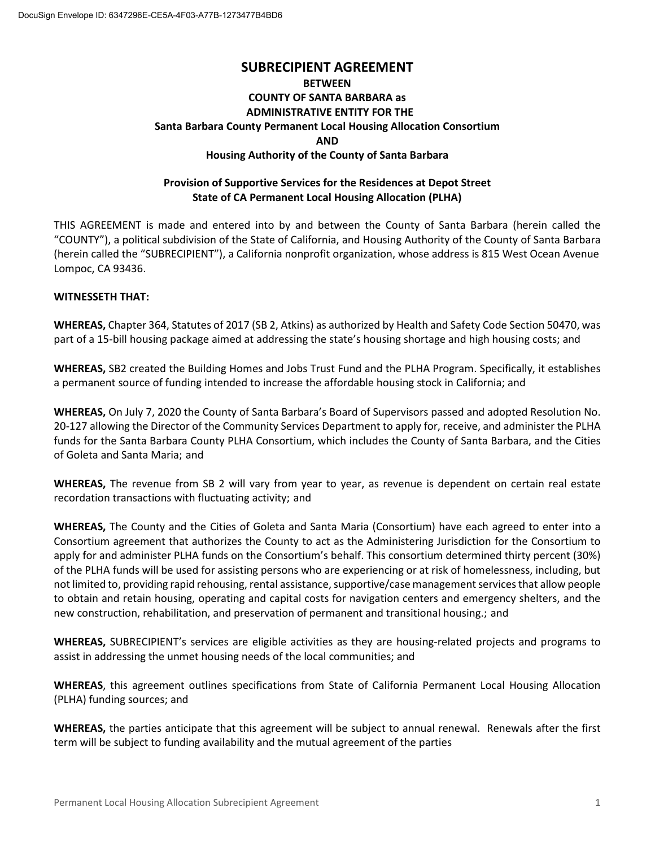# **SUBRECIPIENT AGREEMENT BETWEEN COUNTY OF SANTA BARBARA as ADMINISTRATIVE ENTITY FOR THE Santa Barbara County Permanent Local Housing Allocation Consortium AND Housing Authority of the County of Santa Barbara**

#### **Provision of Supportive Services for the Residences at Depot Street State of CA Permanent Local Housing Allocation (PLHA)**

THIS AGREEMENT is made and entered into by and between the County of Santa Barbara (herein called the "COUNTY"), a political subdivision of the State of California, and Housing Authority of the County of Santa Barbara (herein called the "SUBRECIPIENT"), a California nonprofit organization, whose address is 815 West Ocean Avenue Lompoc, CA 93436.

#### **WITNESSETH THAT:**

**WHEREAS,** Chapter 364, Statutes of 2017 (SB 2, Atkins) as authorized by Health and Safety Code Section 50470, was part of a 15-bill housing package aimed at addressing the state's housing shortage and high housing costs; and

**WHEREAS,** SB2 created the Building Homes and Jobs Trust Fund and the PLHA Program. Specifically, it establishes a permanent source of funding intended to increase the affordable housing stock in California; and

**WHEREAS,** On July 7, 2020 the County of Santa Barbara's Board of Supervisors passed and adopted Resolution No. 20-127 allowing the Director of the Community Services Department to apply for, receive, and administer the PLHA funds for the Santa Barbara County PLHA Consortium, which includes the County of Santa Barbara, and the Cities of Goleta and Santa Maria; and

**WHEREAS,** The revenue from SB 2 will vary from year to year, as revenue is dependent on certain real estate recordation transactions with fluctuating activity; and

**WHEREAS,** The County and the Cities of Goleta and Santa Maria (Consortium) have each agreed to enter into a Consortium agreement that authorizes the County to act as the Administering Jurisdiction for the Consortium to apply for and administer PLHA funds on the Consortium's behalf. This consortium determined thirty percent (30%) of the PLHA funds will be used for assisting persons who are experiencing or at risk of homelessness, including, but not limited to, providing rapid rehousing, rental assistance, supportive/case management services that allow people to obtain and retain housing, operating and capital costs for navigation centers and emergency shelters, and the new construction, rehabilitation, and preservation of permanent and transitional housing.; and

**WHEREAS,** SUBRECIPIENT's services are eligible activities as they are housing-related projects and programs to assist in addressing the unmet housing needs of the local communities; and

**WHEREAS**, this agreement outlines specifications from State of California Permanent Local Housing Allocation (PLHA) funding sources; and

**WHEREAS,** the parties anticipate that this agreement will be subject to annual renewal. Renewals after the first term will be subject to funding availability and the mutual agreement of the parties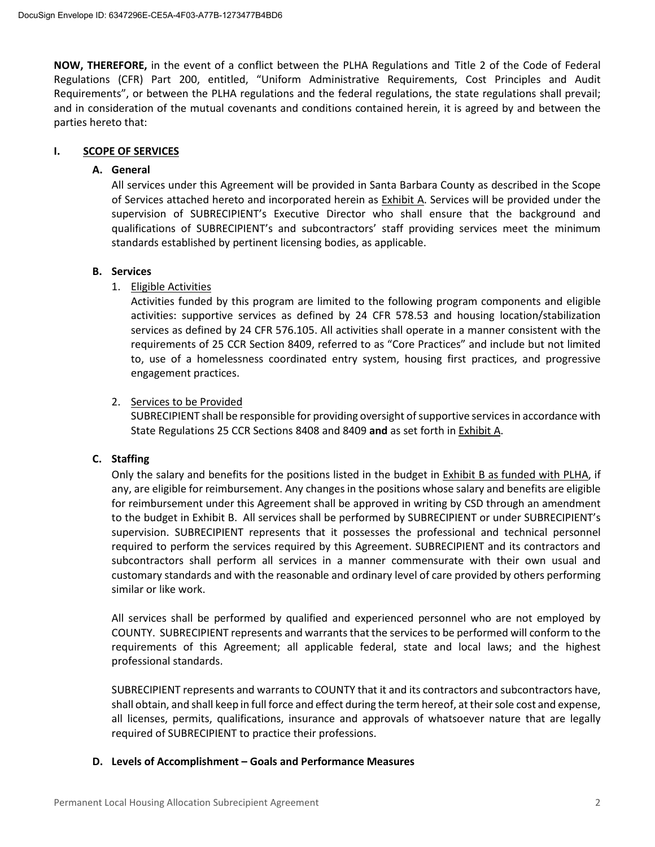**NOW, THEREFORE,** in the event of a conflict between the PLHA Regulations and Title 2 of the Code of Federal Regulations (CFR) Part 200, entitled, "Uniform Administrative Requirements, Cost Principles and Audit Requirements", or between the PLHA regulations and the federal regulations, the state regulations shall prevail; and in consideration of the mutual covenants and conditions contained herein, it is agreed by and between the parties hereto that:

#### **I. SCOPE OF SERVICES**

#### **A. General**

All services under this Agreement will be provided in Santa Barbara County as described in the Scope of Services attached hereto and incorporated herein as Exhibit A. Services will be provided under the supervision of SUBRECIPIENT's Executive Director who shall ensure that the background and qualifications of SUBRECIPIENT's and subcontractors' staff providing services meet the minimum standards established by pertinent licensing bodies, as applicable.

#### **B. Services**

#### 1. Eligible Activities

Activities funded by this program are limited to the following program components and eligible activities: supportive services as defined by 24 CFR 578.53 and housing location/stabilization services as defined by 24 CFR 576.105. All activities shall operate in a manner consistent with the requirements of 25 CCR Section 8409, referred to as "Core Practices" and include but not limited to, use of a homelessness coordinated entry system, housing first practices, and progressive engagement practices.

#### 2. Services to be Provided

SUBRECIPIENT shall be responsible for providing oversight of supportive servicesin accordance with State Regulations 25 CCR Sections 8408 and 8409 **and** as set forth in Exhibit A.

#### **C. Staffing**

Only the salary and benefits for the positions listed in the budget in Exhibit B as funded with PLHA, if any, are eligible for reimbursement. Any changes in the positions whose salary and benefits are eligible for reimbursement under this Agreement shall be approved in writing by CSD through an amendment to the budget in Exhibit B. All services shall be performed by SUBRECIPIENT or under SUBRECIPIENT's supervision. SUBRECIPIENT represents that it possesses the professional and technical personnel required to perform the services required by this Agreement. SUBRECIPIENT and its contractors and subcontractors shall perform all services in a manner commensurate with their own usual and customary standards and with the reasonable and ordinary level of care provided by others performing similar or like work.

All services shall be performed by qualified and experienced personnel who are not employed by COUNTY. SUBRECIPIENT represents and warrants that the services to be performed will conform to the requirements of this Agreement; all applicable federal, state and local laws; and the highest professional standards.

SUBRECIPIENT represents and warrants to COUNTY that it and its contractors and subcontractors have, shall obtain, and shall keep in full force and effect during the term hereof, at their sole cost and expense, all licenses, permits, qualifications, insurance and approvals of whatsoever nature that are legally required of SUBRECIPIENT to practice their professions.

#### **D. Levels of Accomplishment – Goals and Performance Measures**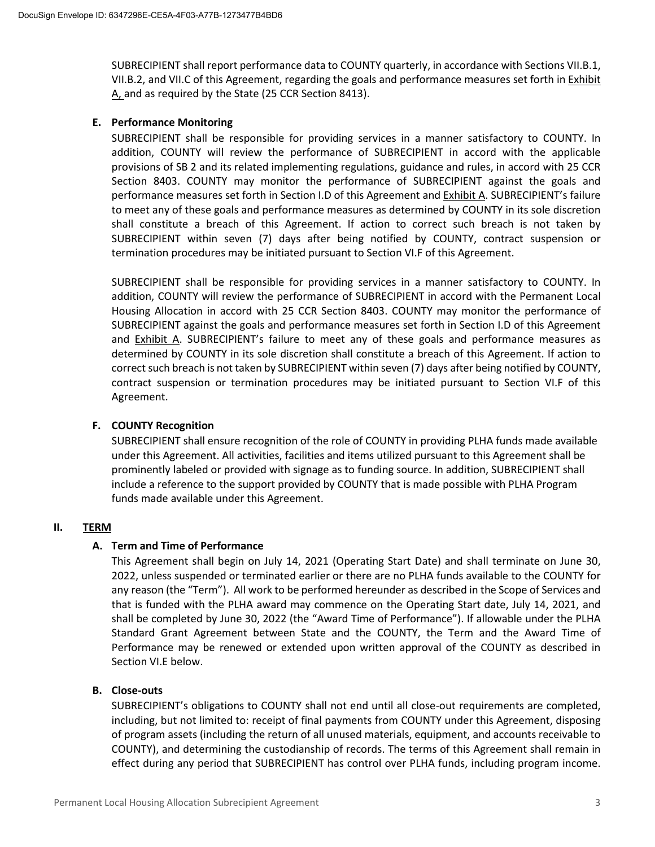SUBRECIPIENT shall report performance data to COUNTY quarterly, in accordance with Sections VII.B.1, VII.B.2, and VII.C of this Agreement, regarding the goals and performance measures set forth in **Exhibit** A, and as required by the State (25 CCR Section 8413).

#### **E. Performance Monitoring**

SUBRECIPIENT shall be responsible for providing services in a manner satisfactory to COUNTY. In addition, COUNTY will review the performance of SUBRECIPIENT in accord with the applicable provisions of SB 2 and its related implementing regulations, guidance and rules, in accord with 25 CCR Section 8403. COUNTY may monitor the performance of SUBRECIPIENT against the goals and performance measures set forth in Section I.D of this Agreement and Exhibit A. SUBRECIPIENT's failure to meet any of these goals and performance measures as determined by COUNTY in its sole discretion shall constitute a breach of this Agreement. If action to correct such breach is not taken by SUBRECIPIENT within seven (7) days after being notified by COUNTY, contract suspension or termination procedures may be initiated pursuant to Section VI.F of this Agreement.

SUBRECIPIENT shall be responsible for providing services in a manner satisfactory to COUNTY. In addition, COUNTY will review the performance of SUBRECIPIENT in accord with the Permanent Local Housing Allocation in accord with 25 CCR Section 8403. COUNTY may monitor the performance of SUBRECIPIENT against the goals and performance measures set forth in Section I.D of this Agreement and **Exhibit A.** SUBRECIPIENT's failure to meet any of these goals and performance measures as determined by COUNTY in its sole discretion shall constitute a breach of this Agreement. If action to correct such breach is not taken by SUBRECIPIENT within seven (7) days after being notified by COUNTY, contract suspension or termination procedures may be initiated pursuant to Section VI.F of this Agreement.

#### **F. COUNTY Recognition**

SUBRECIPIENT shall ensure recognition of the role of COUNTY in providing PLHA funds made available under this Agreement. All activities, facilities and items utilized pursuant to this Agreement shall be prominently labeled or provided with signage as to funding source. In addition, SUBRECIPIENT shall include a reference to the support provided by COUNTY that is made possible with PLHA Program funds made available under this Agreement.

#### **II. TERM**

#### **A. Term and Time of Performance**

This Agreement shall begin on July 14, 2021 (Operating Start Date) and shall terminate on June 30, 2022, unless suspended or terminated earlier or there are no PLHA funds available to the COUNTY for any reason (the "Term"). All work to be performed hereunder as described in the Scope of Services and that is funded with the PLHA award may commence on the Operating Start date, July 14, 2021, and shall be completed by June 30, 2022 (the "Award Time of Performance"). If allowable under the PLHA Standard Grant Agreement between State and the COUNTY, the Term and the Award Time of Performance may be renewed or extended upon written approval of the COUNTY as described in Section VI.E below.

#### **B. Close-outs**

SUBRECIPIENT's obligations to COUNTY shall not end until all close-out requirements are completed, including, but not limited to: receipt of final payments from COUNTY under this Agreement, disposing of program assets (including the return of all unused materials, equipment, and accounts receivable to COUNTY), and determining the custodianship of records. The terms of this Agreement shall remain in effect during any period that SUBRECIPIENT has control over PLHA funds, including program income.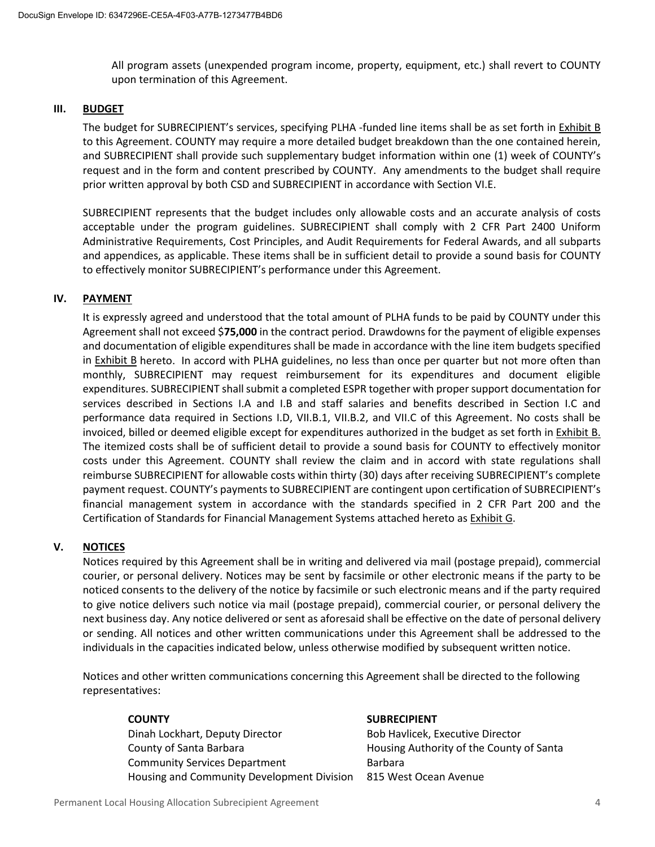All program assets (unexpended program income, property, equipment, etc.) shall revert to COUNTY upon termination of this Agreement.

#### **III. BUDGET**

The budget for SUBRECIPIENT's services, specifying PLHA -funded line items shall be as set forth in Exhibit B to this Agreement. COUNTY may require a more detailed budget breakdown than the one contained herein, and SUBRECIPIENT shall provide such supplementary budget information within one (1) week of COUNTY's request and in the form and content prescribed by COUNTY. Any amendments to the budget shall require prior written approval by both CSD and SUBRECIPIENT in accordance with Section VI.E.

SUBRECIPIENT represents that the budget includes only allowable costs and an accurate analysis of costs acceptable under the program guidelines. SUBRECIPIENT shall comply with 2 CFR Part 2400 Uniform Administrative Requirements, Cost Principles, and Audit Requirements for Federal Awards, and all subparts and appendices, as applicable. These items shall be in sufficient detail to provide a sound basis for COUNTY to effectively monitor SUBRECIPIENT's performance under this Agreement.

#### **IV. PAYMENT**

It is expressly agreed and understood that the total amount of PLHA funds to be paid by COUNTY under this Agreement shall not exceed \$**75,000** in the contract period. Drawdowns for the payment of eligible expenses and documentation of eligible expenditures shall be made in accordance with the line item budgets specified in Exhibit B hereto. In accord with PLHA guidelines, no less than once per quarter but not more often than monthly, SUBRECIPIENT may request reimbursement for its expenditures and document eligible expenditures. SUBRECIPIENT shall submit a completed ESPR together with proper support documentation for services described in Sections I.A and I.B and staff salaries and benefits described in Section I.C and performance data required in Sections I.D, VII.B.1, VII.B.2, and VII.C of this Agreement. No costs shall be invoiced, billed or deemed eligible except for expenditures authorized in the budget as set forth in Exhibit B. The itemized costs shall be of sufficient detail to provide a sound basis for COUNTY to effectively monitor costs under this Agreement. COUNTY shall review the claim and in accord with state regulations shall reimburse SUBRECIPIENT for allowable costs within thirty (30) days after receiving SUBRECIPIENT's complete payment request. COUNTY's payments to SUBRECIPIENT are contingent upon certification of SUBRECIPIENT's financial management system in accordance with the standards specified in 2 CFR Part 200 and the Certification of Standards for Financial Management Systems attached hereto as Exhibit G.

#### **V. NOTICES**

Notices required by this Agreement shall be in writing and delivered via mail (postage prepaid), commercial courier, or personal delivery. Notices may be sent by facsimile or other electronic means if the party to be noticed consents to the delivery of the notice by facsimile or such electronic means and if the party required to give notice delivers such notice via mail (postage prepaid), commercial courier, or personal delivery the next business day. Any notice delivered or sent as aforesaid shall be effective on the date of personal delivery or sending. All notices and other written communications under this Agreement shall be addressed to the individuals in the capacities indicated below, unless otherwise modified by subsequent written notice.

Notices and other written communications concerning this Agreement shall be directed to the following representatives:

### **COUNTY SUBRECIPIENT** Dinah Lockhart, Deputy Director County of Santa Barbara Community Services Department Housing and Community Development Division

Bob Havlicek, Executive Director Housing Authority of the County of Santa Barbara 815 West Ocean Avenue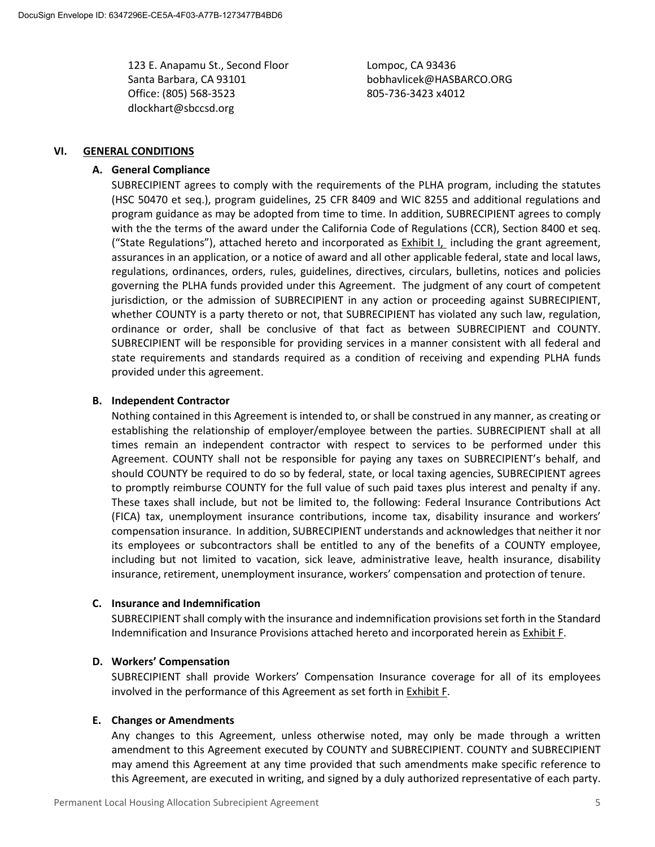123 E. Anapamu St., Second Floor Santa Barbara, CA 93101 Office: (805) 568-3523 dlockhart@sbccsd.org

Lompoc, CA 93436 bobhavlicek@HASBARCO.ORG 805-736-3423 x4012

#### **VI. GENERAL CONDITIONS**

#### **A. General Compliance**

SUBRECIPIENT agrees to comply with the requirements of the PLHA program, including the statutes (HSC 50470 et seq.), program guidelines, 25 CFR 8409 and WIC 8255 and additional regulations and program guidance as may be adopted from time to time. In addition, SUBRECIPIENT agrees to comply with the the terms of the award under the California Code of Regulations (CCR), Section 8400 et seq. ("State Regulations"), attached hereto and incorporated as Exhibit I, including the grant agreement, assurances in an application, or a notice of award and all other applicable federal, state and local laws, regulations, ordinances, orders, rules, guidelines, directives, circulars, bulletins, notices and policies governing the PLHA funds provided under this Agreement. The judgment of any court of competent jurisdiction, or the admission of SUBRECIPIENT in any action or proceeding against SUBRECIPIENT, whether COUNTY is a party thereto or not, that SUBRECIPIENT has violated any such law, regulation, ordinance or order, shall be conclusive of that fact as between SUBRECIPIENT and COUNTY. SUBRECIPIENT will be responsible for providing services in a manner consistent with all federal and state requirements and standards required as a condition of receiving and expending PLHA funds provided under this agreement.

#### **B. Independent Contractor**

Nothing contained in this Agreement is intended to, or shall be construed in any manner, as creating or establishing the relationship of employer/employee between the parties. SUBRECIPIENT shall at all times remain an independent contractor with respect to services to be performed under this Agreement. COUNTY shall not be responsible for paying any taxes on SUBRECIPIENT's behalf, and should COUNTY be required to do so by federal, state, or local taxing agencies, SUBRECIPIENT agrees to promptly reimburse COUNTY for the full value of such paid taxes plus interest and penalty if any. These taxes shall include, but not be limited to, the following: Federal Insurance Contributions Act (FICA) tax, unemployment insurance contributions, income tax, disability insurance and workers' compensation insurance. In addition, SUBRECIPIENT understands and acknowledges that neither it nor its employees or subcontractors shall be entitled to any of the benefits of a COUNTY employee, including but not limited to vacation, sick leave, administrative leave, health insurance, disability insurance, retirement, unemployment insurance, workers' compensation and protection of tenure.

#### **C. Insurance and Indemnification**

SUBRECIPIENT shall comply with the insurance and indemnification provisions set forth in the Standard Indemnification and Insurance Provisions attached hereto and incorporated herein as Exhibit F.

#### **D. Workers' Compensation**

SUBRECIPIENT shall provide Workers' Compensation Insurance coverage for all of its employees involved in the performance of this Agreement as set forth in Exhibit F.

#### **E. Changes or Amendments**

Any changes to this Agreement, unless otherwise noted, may only be made through a written amendment to this Agreement executed by COUNTY and SUBRECIPIENT. COUNTY and SUBRECIPIENT may amend this Agreement at any time provided that such amendments make specific reference to this Agreement, are executed in writing, and signed by a duly authorized representative of each party.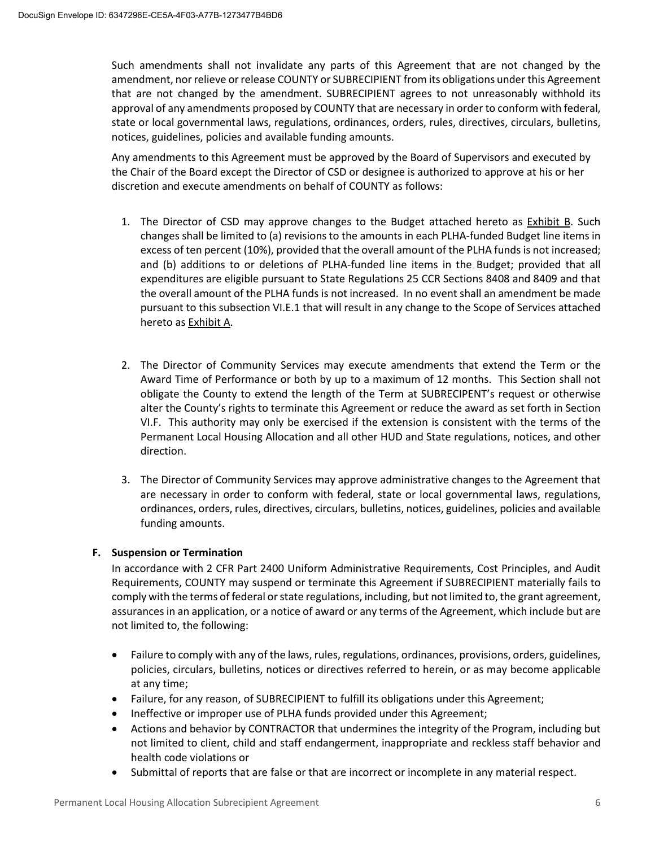Such amendments shall not invalidate any parts of this Agreement that are not changed by the amendment, nor relieve or release COUNTY or SUBRECIPIENT from its obligations under this Agreement that are not changed by the amendment. SUBRECIPIENT agrees to not unreasonably withhold its approval of any amendments proposed by COUNTY that are necessary in order to conform with federal, state or local governmental laws, regulations, ordinances, orders, rules, directives, circulars, bulletins, notices, guidelines, policies and available funding amounts.

Any amendments to this Agreement must be approved by the Board of Supervisors and executed by the Chair of the Board except the Director of CSD or designee is authorized to approve at his or her discretion and execute amendments on behalf of COUNTY as follows:

- 1. The Director of CSD may approve changes to the Budget attached hereto as Exhibit B. Such changes shall be limited to (a) revisions to the amounts in each PLHA-funded Budget line items in excess of ten percent (10%), provided that the overall amount of the PLHA funds is not increased; and (b) additions to or deletions of PLHA-funded line items in the Budget; provided that all expenditures are eligible pursuant to State Regulations 25 CCR Sections 8408 and 8409 and that the overall amount of the PLHA funds is not increased. In no event shall an amendment be made pursuant to this subsection VI.E.1 that will result in any change to the Scope of Services attached hereto as Exhibit A.
- 2. The Director of Community Services may execute amendments that extend the Term or the Award Time of Performance or both by up to a maximum of 12 months. This Section shall not obligate the County to extend the length of the Term at SUBRECIPENT's request or otherwise alter the County's rights to terminate this Agreement or reduce the award as set forth in Section VI.F. This authority may only be exercised if the extension is consistent with the terms of the Permanent Local Housing Allocation and all other HUD and State regulations, notices, and other direction.
- 3. The Director of Community Services may approve administrative changes to the Agreement that are necessary in order to conform with federal, state or local governmental laws, regulations, ordinances, orders, rules, directives, circulars, bulletins, notices, guidelines, policies and available funding amounts.

#### **F. Suspension or Termination**

In accordance with 2 CFR Part 2400 Uniform Administrative Requirements, Cost Principles, and Audit Requirements, COUNTY may suspend or terminate this Agreement if SUBRECIPIENT materially fails to comply with the terms of federal or state regulations, including, but not limited to, the grant agreement, assurances in an application, or a notice of award or any terms of the Agreement, which include but are not limited to, the following:

- Failure to comply with any of the laws, rules, regulations, ordinances, provisions, orders, guidelines, policies, circulars, bulletins, notices or directives referred to herein, or as may become applicable at any time;
- Failure, for any reason, of SUBRECIPIENT to fulfill its obligations under this Agreement;
- Ineffective or improper use of PLHA funds provided under this Agreement;
- Actions and behavior by CONTRACTOR that undermines the integrity of the Program, including but not limited to client, child and staff endangerment, inappropriate and reckless staff behavior and health code violations or
- Submittal of reports that are false or that are incorrect or incomplete in any material respect.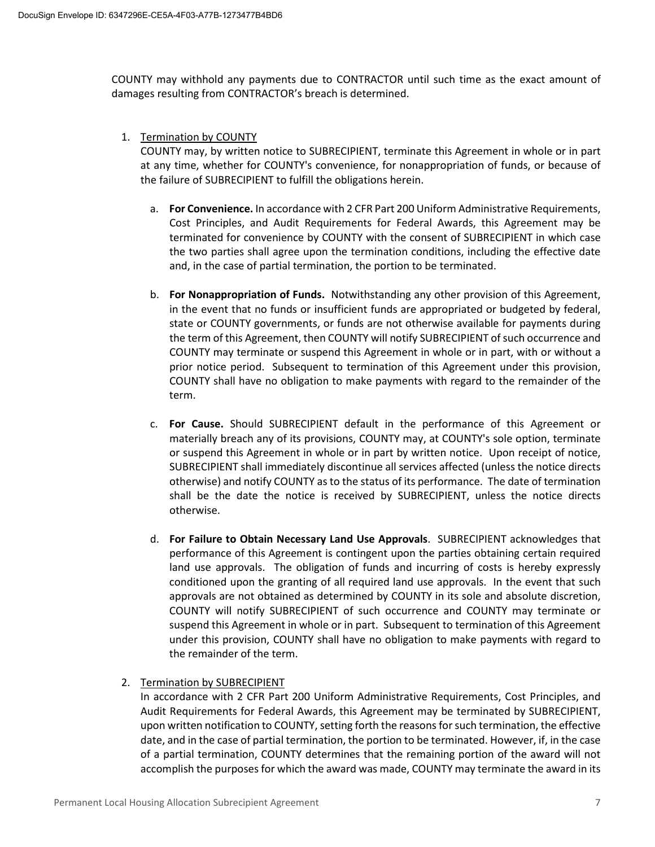COUNTY may withhold any payments due to CONTRACTOR until such time as the exact amount of damages resulting from CONTRACTOR's breach is determined.

1. Termination by COUNTY

COUNTY may, by written notice to SUBRECIPIENT, terminate this Agreement in whole or in part at any time, whether for COUNTY's convenience, for nonappropriation of funds, or because of the failure of SUBRECIPIENT to fulfill the obligations herein.

- a. **For Convenience.** In accordance with 2 CFR Part 200 Uniform Administrative Requirements, Cost Principles, and Audit Requirements for Federal Awards, this Agreement may be terminated for convenience by COUNTY with the consent of SUBRECIPIENT in which case the two parties shall agree upon the termination conditions, including the effective date and, in the case of partial termination, the portion to be terminated.
- b. **For Nonappropriation of Funds.** Notwithstanding any other provision of this Agreement, in the event that no funds or insufficient funds are appropriated or budgeted by federal, state or COUNTY governments, or funds are not otherwise available for payments during the term of this Agreement, then COUNTY will notify SUBRECIPIENT of such occurrence and COUNTY may terminate or suspend this Agreement in whole or in part, with or without a prior notice period. Subsequent to termination of this Agreement under this provision, COUNTY shall have no obligation to make payments with regard to the remainder of the term.
- c. **For Cause.** Should SUBRECIPIENT default in the performance of this Agreement or materially breach any of its provisions, COUNTY may, at COUNTY's sole option, terminate or suspend this Agreement in whole or in part by written notice. Upon receipt of notice, SUBRECIPIENT shall immediately discontinue all services affected (unless the notice directs otherwise) and notify COUNTY as to the status of its performance. The date of termination shall be the date the notice is received by SUBRECIPIENT, unless the notice directs otherwise.
- d. **For Failure to Obtain Necessary Land Use Approvals**. SUBRECIPIENT acknowledges that performance of this Agreement is contingent upon the parties obtaining certain required land use approvals. The obligation of funds and incurring of costs is hereby expressly conditioned upon the granting of all required land use approvals. In the event that such approvals are not obtained as determined by COUNTY in its sole and absolute discretion, COUNTY will notify SUBRECIPIENT of such occurrence and COUNTY may terminate or suspend this Agreement in whole or in part. Subsequent to termination of this Agreement under this provision, COUNTY shall have no obligation to make payments with regard to the remainder of the term.
- 2. Termination by SUBRECIPIENT

In accordance with 2 CFR Part 200 Uniform Administrative Requirements, Cost Principles, and Audit Requirements for Federal Awards, this Agreement may be terminated by SUBRECIPIENT, upon written notification to COUNTY, setting forth the reasons for such termination, the effective date, and in the case of partial termination, the portion to be terminated. However, if, in the case of a partial termination, COUNTY determines that the remaining portion of the award will not accomplish the purposes for which the award was made, COUNTY may terminate the award in its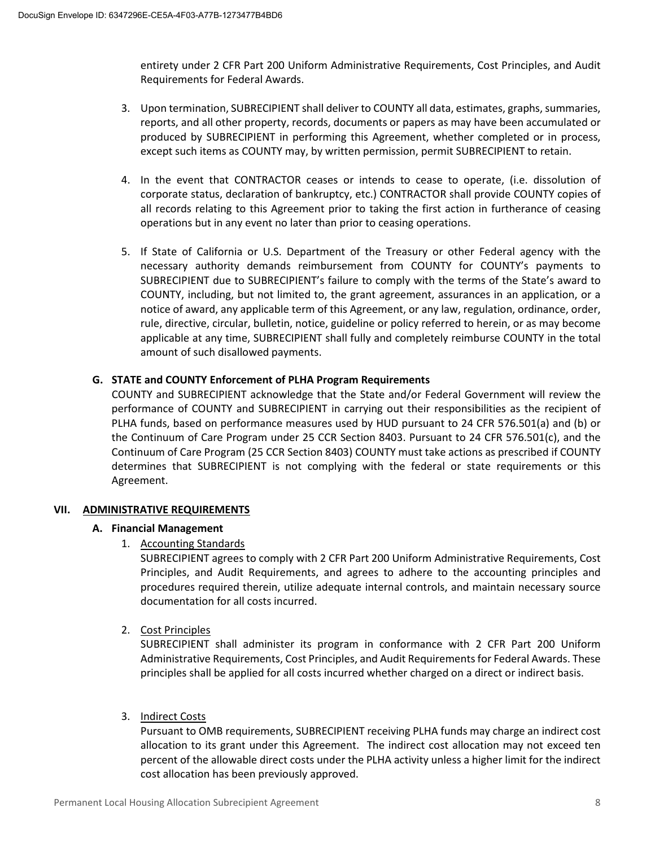entirety under 2 CFR Part 200 Uniform Administrative Requirements, Cost Principles, and Audit Requirements for Federal Awards.

- 3. Upon termination, SUBRECIPIENT shall deliver to COUNTY all data, estimates, graphs, summaries, reports, and all other property, records, documents or papers as may have been accumulated or produced by SUBRECIPIENT in performing this Agreement, whether completed or in process, except such items as COUNTY may, by written permission, permit SUBRECIPIENT to retain.
- 4. In the event that CONTRACTOR ceases or intends to cease to operate, (i.e. dissolution of corporate status, declaration of bankruptcy, etc.) CONTRACTOR shall provide COUNTY copies of all records relating to this Agreement prior to taking the first action in furtherance of ceasing operations but in any event no later than prior to ceasing operations.
- 5. If State of California or U.S. Department of the Treasury or other Federal agency with the necessary authority demands reimbursement from COUNTY for COUNTY's payments to SUBRECIPIENT due to SUBRECIPIENT's failure to comply with the terms of the State's award to COUNTY, including, but not limited to, the grant agreement, assurances in an application, or a notice of award, any applicable term of this Agreement, or any law, regulation, ordinance, order, rule, directive, circular, bulletin, notice, guideline or policy referred to herein, or as may become applicable at any time, SUBRECIPIENT shall fully and completely reimburse COUNTY in the total amount of such disallowed payments.

#### **G. STATE and COUNTY Enforcement of PLHA Program Requirements**

COUNTY and SUBRECIPIENT acknowledge that the State and/or Federal Government will review the performance of COUNTY and SUBRECIPIENT in carrying out their responsibilities as the recipient of PLHA funds, based on performance measures used by HUD pursuant to 24 CFR 576.501(a) and (b) or the Continuum of Care Program under 25 CCR Section 8403. Pursuant to 24 CFR 576.501(c), and the Continuum of Care Program (25 CCR Section 8403) COUNTY must take actions as prescribed if COUNTY determines that SUBRECIPIENT is not complying with the federal or state requirements or this Agreement.

#### **VII. ADMINISTRATIVE REQUIREMENTS**

#### **A. Financial Management**

1. Accounting Standards

SUBRECIPIENT agrees to comply with 2 CFR Part 200 Uniform Administrative Requirements, Cost Principles, and Audit Requirements, and agrees to adhere to the accounting principles and procedures required therein, utilize adequate internal controls, and maintain necessary source documentation for all costs incurred.

#### 2. Cost Principles

SUBRECIPIENT shall administer its program in conformance with 2 CFR Part 200 Uniform Administrative Requirements, Cost Principles, and Audit Requirements for Federal Awards. These principles shall be applied for all costs incurred whether charged on a direct or indirect basis.

#### 3. Indirect Costs

Pursuant to OMB requirements, SUBRECIPIENT receiving PLHA funds may charge an indirect cost allocation to its grant under this Agreement. The indirect cost allocation may not exceed ten percent of the allowable direct costs under the PLHA activity unless a higher limit for the indirect cost allocation has been previously approved.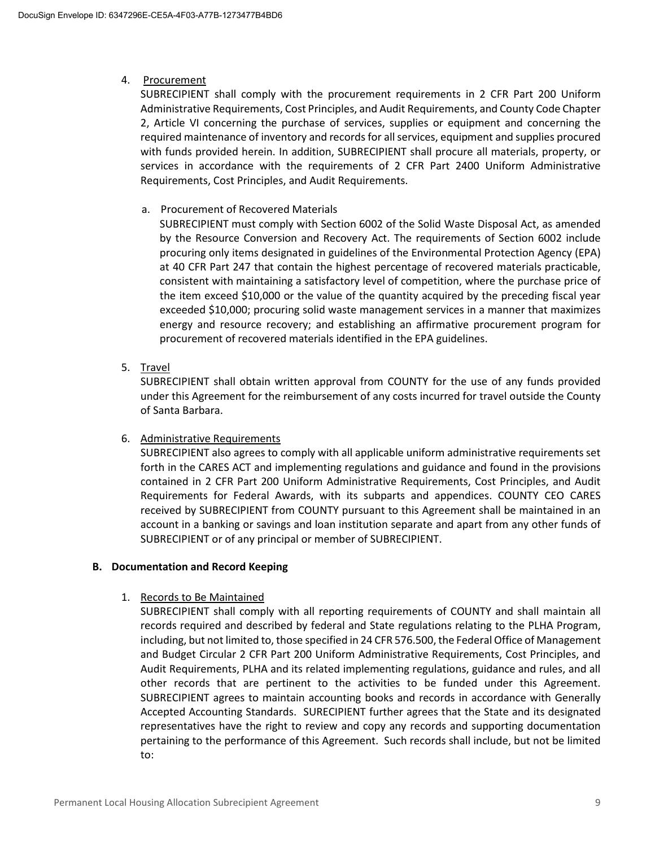#### 4. Procurement

SUBRECIPIENT shall comply with the procurement requirements in 2 CFR Part 200 Uniform Administrative Requirements, Cost Principles, and Audit Requirements, and County Code Chapter 2, Article VI concerning the purchase of services, supplies or equipment and concerning the required maintenance of inventory and records for all services, equipment and supplies procured with funds provided herein. In addition, SUBRECIPIENT shall procure all materials, property, or services in accordance with the requirements of 2 CFR Part 2400 Uniform Administrative Requirements, Cost Principles, and Audit Requirements.

#### a. Procurement of Recovered Materials

SUBRECIPIENT must comply with Section 6002 of the Solid Waste Disposal Act, as amended by the Resource Conversion and Recovery Act. The requirements of Section 6002 include procuring only items designated in guidelines of the Environmental Protection Agency (EPA) at 40 CFR Part 247 that contain the highest percentage of recovered materials practicable, consistent with maintaining a satisfactory level of competition, where the purchase price of the item exceed \$10,000 or the value of the quantity acquired by the preceding fiscal year exceeded \$10,000; procuring solid waste management services in a manner that maximizes energy and resource recovery; and establishing an affirmative procurement program for procurement of recovered materials identified in the EPA guidelines.

5. Travel

SUBRECIPIENT shall obtain written approval from COUNTY for the use of any funds provided under this Agreement for the reimbursement of any costs incurred for travel outside the County of Santa Barbara.

#### 6. Administrative Requirements

SUBRECIPIENT also agrees to comply with all applicable uniform administrative requirements set forth in the CARES ACT and implementing regulations and guidance and found in the provisions contained in 2 CFR Part 200 Uniform Administrative Requirements, Cost Principles, and Audit Requirements for Federal Awards, with its subparts and appendices. COUNTY CEO CARES received by SUBRECIPIENT from COUNTY pursuant to this Agreement shall be maintained in an account in a banking or savings and loan institution separate and apart from any other funds of SUBRECIPIENT or of any principal or member of SUBRECIPIENT.

#### **B. Documentation and Record Keeping**

#### 1. Records to Be Maintained

SUBRECIPIENT shall comply with all reporting requirements of COUNTY and shall maintain all records required and described by federal and State regulations relating to the PLHA Program, including, but not limited to, those specified in 24 CFR 576.500, the Federal Office of Management and Budget Circular 2 CFR Part 200 Uniform Administrative Requirements, Cost Principles, and Audit Requirements, PLHA and its related implementing regulations, guidance and rules, and all other records that are pertinent to the activities to be funded under this Agreement. SUBRECIPIENT agrees to maintain accounting books and records in accordance with Generally Accepted Accounting Standards. SURECIPIENT further agrees that the State and its designated representatives have the right to review and copy any records and supporting documentation pertaining to the performance of this Agreement. Such records shall include, but not be limited to: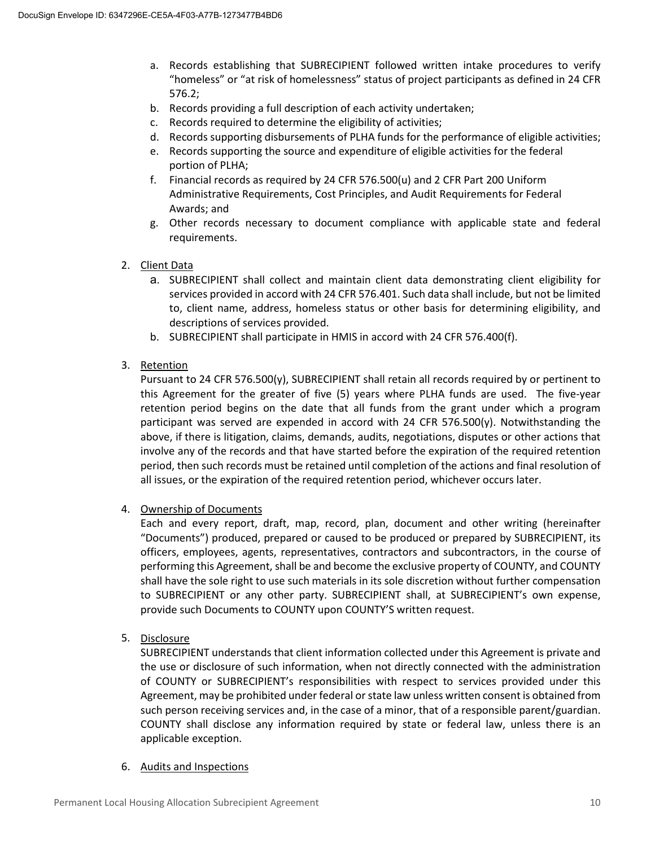- a. Records establishing that SUBRECIPIENT followed written intake procedures to verify "homeless" or "at risk of homelessness" status of project participants as defined in 24 CFR 576.2;
- b. Records providing a full description of each activity undertaken;
- c. Records required to determine the eligibility of activities;
- d. Records supporting disbursements of PLHA funds for the performance of eligible activities;
- e. Records supporting the source and expenditure of eligible activities for the federal portion of PLHA;
- f. Financial records as required by 24 CFR 576.500(u) and 2 CFR Part 200 Uniform Administrative Requirements, Cost Principles, and Audit Requirements for Federal Awards; and
- g. Other records necessary to document compliance with applicable state and federal requirements.
- 2. Client Data
	- a. SUBRECIPIENT shall collect and maintain client data demonstrating client eligibility for services provided in accord with 24 CFR 576.401. Such data shall include, but not be limited to, client name, address, homeless status or other basis for determining eligibility, and descriptions of services provided.
	- b. SUBRECIPIENT shall participate in HMIS in accord with 24 CFR 576.400(f).
- 3. Retention

Pursuant to 24 CFR 576.500(y), SUBRECIPIENT shall retain all records required by or pertinent to this Agreement for the greater of five (5) years where PLHA funds are used. The five-year retention period begins on the date that all funds from the grant under which a program participant was served are expended in accord with 24 CFR 576.500(y). Notwithstanding the above, if there is litigation, claims, demands, audits, negotiations, disputes or other actions that involve any of the records and that have started before the expiration of the required retention period, then such records must be retained until completion of the actions and final resolution of all issues, or the expiration of the required retention period, whichever occurs later.

4. Ownership of Documents

Each and every report, draft, map, record, plan, document and other writing (hereinafter "Documents") produced, prepared or caused to be produced or prepared by SUBRECIPIENT, its officers, employees, agents, representatives, contractors and subcontractors, in the course of performing this Agreement, shall be and become the exclusive property of COUNTY, and COUNTY shall have the sole right to use such materials in its sole discretion without further compensation to SUBRECIPIENT or any other party. SUBRECIPIENT shall, at SUBRECIPIENT's own expense, provide such Documents to COUNTY upon COUNTY'S written request.

5. Disclosure

SUBRECIPIENT understands that client information collected under this Agreement is private and the use or disclosure of such information, when not directly connected with the administration of COUNTY or SUBRECIPIENT's responsibilities with respect to services provided under this Agreement, may be prohibited under federal or state law unless written consent is obtained from such person receiving services and, in the case of a minor, that of a responsible parent/guardian. COUNTY shall disclose any information required by state or federal law, unless there is an applicable exception.

6. Audits and Inspections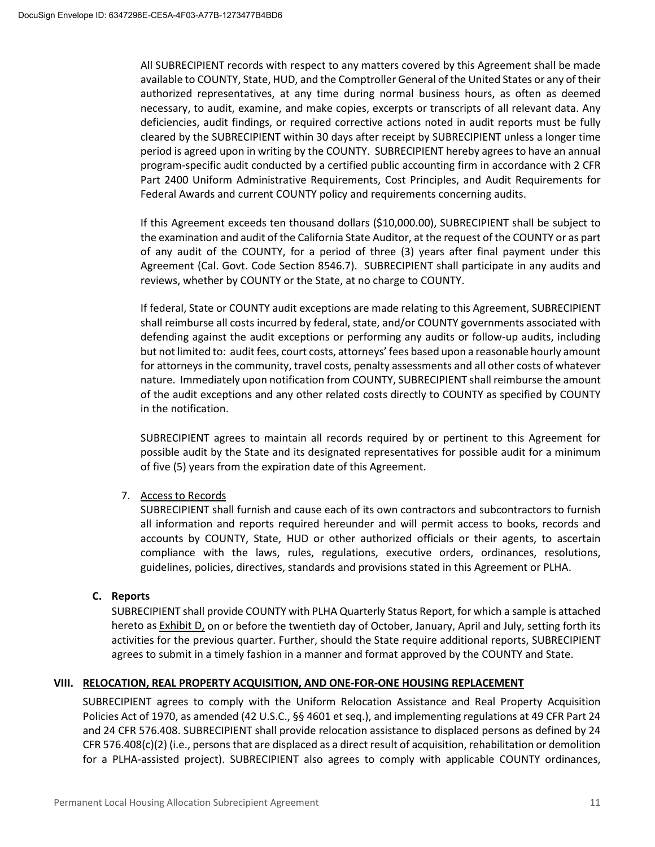All SUBRECIPIENT records with respect to any matters covered by this Agreement shall be made available to COUNTY, State, HUD, and the Comptroller General of the United States or any of their authorized representatives, at any time during normal business hours, as often as deemed necessary, to audit, examine, and make copies, excerpts or transcripts of all relevant data. Any deficiencies, audit findings, or required corrective actions noted in audit reports must be fully cleared by the SUBRECIPIENT within 30 days after receipt by SUBRECIPIENT unless a longer time period is agreed upon in writing by the COUNTY. SUBRECIPIENT hereby agrees to have an annual program-specific audit conducted by a certified public accounting firm in accordance with 2 CFR Part 2400 Uniform Administrative Requirements, Cost Principles, and Audit Requirements for Federal Awards and current COUNTY policy and requirements concerning audits.

If this Agreement exceeds ten thousand dollars (\$10,000.00), SUBRECIPIENT shall be subject to the examination and audit of the California State Auditor, at the request of the COUNTY or as part of any audit of the COUNTY, for a period of three (3) years after final payment under this Agreement (Cal. Govt. Code Section 8546.7). SUBRECIPIENT shall participate in any audits and reviews, whether by COUNTY or the State, at no charge to COUNTY.

If federal, State or COUNTY audit exceptions are made relating to this Agreement, SUBRECIPIENT shall reimburse all costs incurred by federal, state, and/or COUNTY governments associated with defending against the audit exceptions or performing any audits or follow-up audits, including but not limited to: audit fees, court costs, attorneys' fees based upon a reasonable hourly amount for attorneys in the community, travel costs, penalty assessments and all other costs of whatever nature. Immediately upon notification from COUNTY, SUBRECIPIENT shall reimburse the amount of the audit exceptions and any other related costs directly to COUNTY as specified by COUNTY in the notification.

SUBRECIPIENT agrees to maintain all records required by or pertinent to this Agreement for possible audit by the State and its designated representatives for possible audit for a minimum of five (5) years from the expiration date of this Agreement.

#### 7. Access to Records

SUBRECIPIENT shall furnish and cause each of its own contractors and subcontractors to furnish all information and reports required hereunder and will permit access to books, records and accounts by COUNTY, State, HUD or other authorized officials or their agents, to ascertain compliance with the laws, rules, regulations, executive orders, ordinances, resolutions, guidelines, policies, directives, standards and provisions stated in this Agreement or PLHA.

#### **C. Reports**

SUBRECIPIENT shall provide COUNTY with PLHA Quarterly Status Report, for which a sample is attached hereto as Exhibit D, on or before the twentieth day of October, January, April and July, setting forth its activities for the previous quarter. Further, should the State require additional reports, SUBRECIPIENT agrees to submit in a timely fashion in a manner and format approved by the COUNTY and State.

#### **VIII. RELOCATION, REAL PROPERTY ACQUISITION, AND ONE-FOR-ONE HOUSING REPLACEMENT**

SUBRECIPIENT agrees to comply with the Uniform Relocation Assistance and Real Property Acquisition Policies Act of 1970, as amended (42 U.S.C., §§ 4601 et seq.), and implementing regulations at 49 CFR Part 24 and 24 CFR 576.408. SUBRECIPIENT shall provide relocation assistance to displaced persons as defined by 24 CFR 576.408(c)(2) (i.e., persons that are displaced as a direct result of acquisition, rehabilitation or demolition for a PLHA-assisted project). SUBRECIPIENT also agrees to comply with applicable COUNTY ordinances,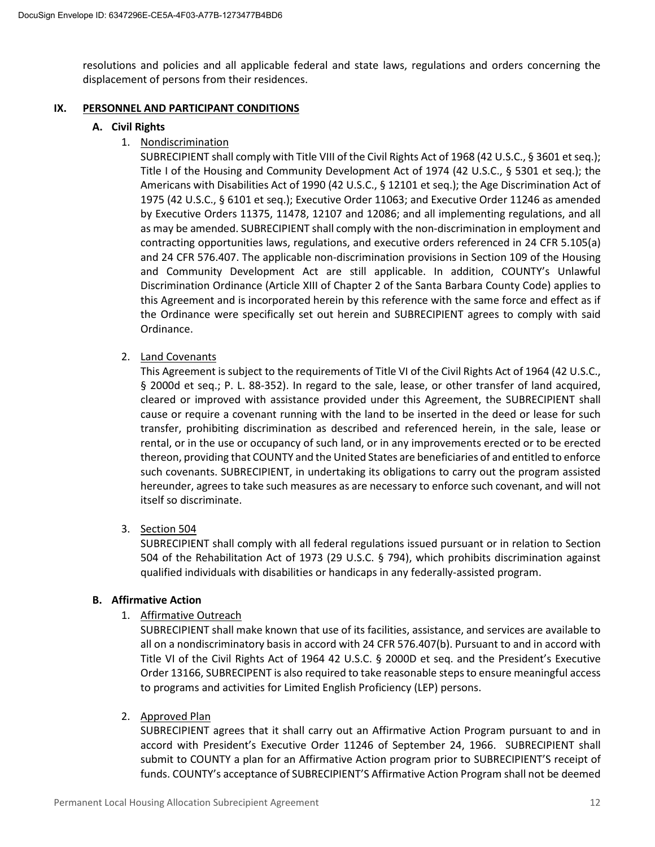resolutions and policies and all applicable federal and state laws, regulations and orders concerning the displacement of persons from their residences.

#### **IX. PERSONNEL AND PARTICIPANT CONDITIONS**

#### **A. Civil Rights**

1. Nondiscrimination

SUBRECIPIENT shall comply with Title VIII of the Civil Rights Act of 1968 (42 U.S.C., § 3601 et seq.); Title I of the Housing and Community Development Act of 1974 (42 U.S.C., § 5301 et seq.); the Americans with Disabilities Act of 1990 (42 U.S.C., § 12101 et seq.); the Age Discrimination Act of 1975 (42 U.S.C., § 6101 et seq.); Executive Order 11063; and Executive Order 11246 as amended by Executive Orders 11375, 11478, 12107 and 12086; and all implementing regulations, and all as may be amended. SUBRECIPIENT shall comply with the non-discrimination in employment and contracting opportunities laws, regulations, and executive orders referenced in 24 CFR 5.105(a) and 24 CFR 576.407. The applicable non-discrimination provisions in Section 109 of the Housing and Community Development Act are still applicable. In addition, COUNTY's Unlawful Discrimination Ordinance (Article XIII of Chapter 2 of the Santa Barbara County Code) applies to this Agreement and is incorporated herein by this reference with the same force and effect as if the Ordinance were specifically set out herein and SUBRECIPIENT agrees to comply with said Ordinance.

2. Land Covenants

This Agreement is subject to the requirements of Title VI of the Civil Rights Act of 1964 (42 U.S.C., § 2000d et seq.; P. L. 88-352). In regard to the sale, lease, or other transfer of land acquired, cleared or improved with assistance provided under this Agreement, the SUBRECIPIENT shall cause or require a covenant running with the land to be inserted in the deed or lease for such transfer, prohibiting discrimination as described and referenced herein, in the sale, lease or rental, or in the use or occupancy of such land, or in any improvements erected or to be erected thereon, providing that COUNTY and the United States are beneficiaries of and entitled to enforce such covenants. SUBRECIPIENT, in undertaking its obligations to carry out the program assisted hereunder, agrees to take such measures as are necessary to enforce such covenant, and will not itself so discriminate.

3. Section 504

SUBRECIPIENT shall comply with all federal regulations issued pursuant or in relation to Section 504 of the Rehabilitation Act of 1973 (29 U.S.C. § 794), which prohibits discrimination against qualified individuals with disabilities or handicaps in any federally-assisted program.

#### **B. Affirmative Action**

1. Affirmative Outreach

SUBRECIPIENT shall make known that use of its facilities, assistance, and services are available to all on a nondiscriminatory basis in accord with 24 CFR 576.407(b). Pursuant to and in accord with Title VI of the Civil Rights Act of 1964 42 U.S.C. § 2000D et seq. and the President's Executive Order 13166, SUBRECIPENT is also required to take reasonable steps to ensure meaningful access to programs and activities for Limited English Proficiency (LEP) persons.

2. Approved Plan

SUBRECIPIENT agrees that it shall carry out an Affirmative Action Program pursuant to and in accord with President's Executive Order 11246 of September 24, 1966. SUBRECIPIENT shall submit to COUNTY a plan for an Affirmative Action program prior to SUBRECIPIENT'S receipt of funds. COUNTY's acceptance of SUBRECIPIENT'S Affirmative Action Program shall not be deemed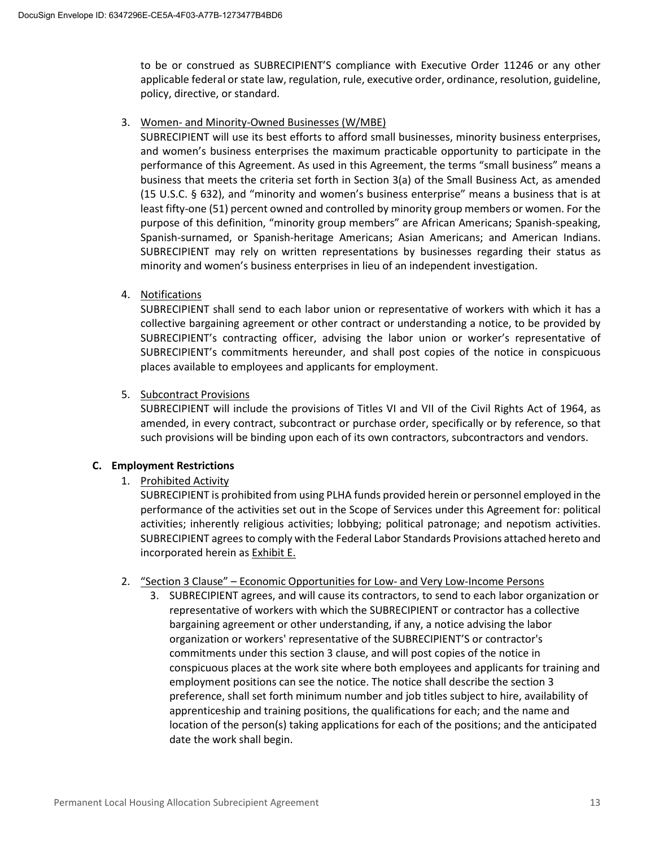to be or construed as SUBRECIPIENT'S compliance with Executive Order 11246 or any other applicable federal or state law, regulation, rule, executive order, ordinance, resolution, guideline, policy, directive, or standard.

#### 3. Women- and Minority-Owned Businesses (W/MBE)

SUBRECIPIENT will use its best efforts to afford small businesses, minority business enterprises, and women's business enterprises the maximum practicable opportunity to participate in the performance of this Agreement. As used in this Agreement, the terms "small business" means a business that meets the criteria set forth in Section 3(a) of the Small Business Act, as amended (15 U.S.C. § 632), and "minority and women's business enterprise" means a business that is at least fifty-one (51) percent owned and controlled by minority group members or women. For the purpose of this definition, "minority group members" are African Americans; Spanish-speaking, Spanish-surnamed, or Spanish-heritage Americans; Asian Americans; and American Indians. SUBRECIPIENT may rely on written representations by businesses regarding their status as minority and women's business enterprises in lieu of an independent investigation.

4. Notifications

SUBRECIPIENT shall send to each labor union or representative of workers with which it has a collective bargaining agreement or other contract or understanding a notice, to be provided by SUBRECIPIENT's contracting officer, advising the labor union or worker's representative of SUBRECIPIENT's commitments hereunder, and shall post copies of the notice in conspicuous places available to employees and applicants for employment.

5. Subcontract Provisions

SUBRECIPIENT will include the provisions of Titles VI and VII of the Civil Rights Act of 1964, as amended, in every contract, subcontract or purchase order, specifically or by reference, so that such provisions will be binding upon each of its own contractors, subcontractors and vendors.

#### **C. Employment Restrictions**

1. Prohibited Activity

SUBRECIPIENT is prohibited from using PLHA funds provided herein or personnel employed in the performance of the activities set out in the Scope of Services under this Agreement for: political activities; inherently religious activities; lobbying; political patronage; and nepotism activities. SUBRECIPIENT agrees to comply with the Federal Labor Standards Provisions attached hereto and incorporated herein as Exhibit E.

- 2. "Section 3 Clause" Economic Opportunities for Low- and Very Low-Income Persons
	- 3. SUBRECIPIENT agrees, and will cause its contractors, to send to each labor organization or representative of workers with which the SUBRECIPIENT or contractor has a collective bargaining agreement or other understanding, if any, a notice advising the labor organization or workers' representative of the SUBRECIPIENT'S or contractor's commitments under this section 3 clause, and will post copies of the notice in conspicuous places at the work site where both employees and applicants for training and employment positions can see the notice. The notice shall describe the section 3 preference, shall set forth minimum number and job titles subject to hire, availability of apprenticeship and training positions, the qualifications for each; and the name and location of the person(s) taking applications for each of the positions; and the anticipated date the work shall begin.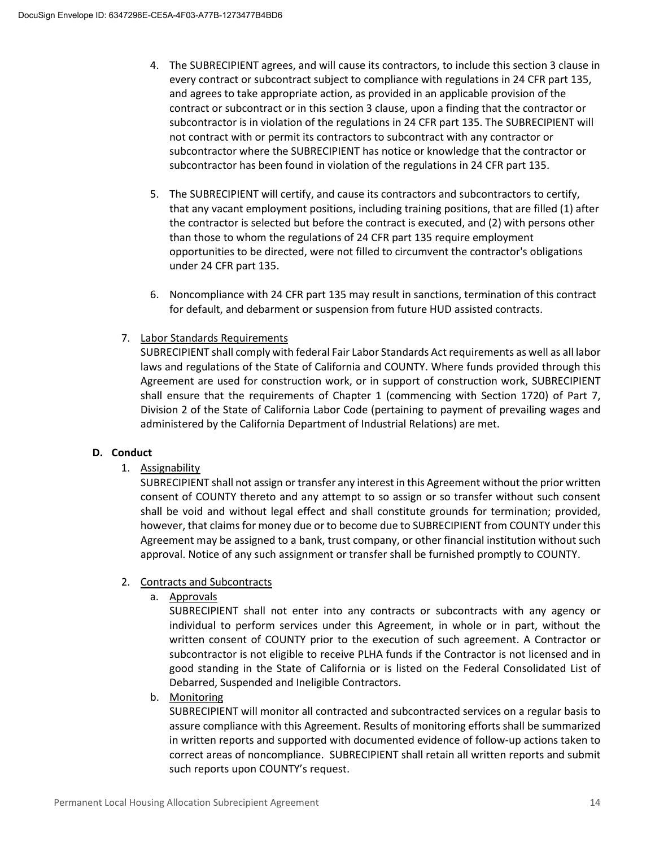- 4. The SUBRECIPIENT agrees, and will cause its contractors, to include this section 3 clause in every contract or subcontract subject to compliance with regulations in 24 CFR part 135, and agrees to take appropriate action, as provided in an applicable provision of the contract or subcontract or in this section 3 clause, upon a finding that the contractor or subcontractor is in violation of the regulations in 24 CFR part 135. The SUBRECIPIENT will not contract with or permit its contractors to subcontract with any contractor or subcontractor where the SUBRECIPIENT has notice or knowledge that the contractor or subcontractor has been found in violation of the regulations in 24 CFR part 135.
- 5. The SUBRECIPIENT will certify, and cause its contractors and subcontractors to certify, that any vacant employment positions, including training positions, that are filled (1) after the contractor is selected but before the contract is executed, and (2) with persons other than those to whom the regulations of 24 CFR part 135 require employment opportunities to be directed, were not filled to circumvent the contractor's obligations under 24 CFR part 135.
- 6. Noncompliance with 24 CFR part 135 may result in sanctions, termination of this contract for default, and debarment or suspension from future HUD assisted contracts.
- 7. Labor Standards Requirements

SUBRECIPIENT shall comply with federal Fair Labor Standards Act requirements as well as all labor laws and regulations of the State of California and COUNTY. Where funds provided through this Agreement are used for construction work, or in support of construction work, SUBRECIPIENT shall ensure that the requirements of Chapter 1 (commencing with Section 1720) of Part 7, Division 2 of the State of California Labor Code (pertaining to payment of prevailing wages and administered by the California Department of Industrial Relations) are met.

#### **D. Conduct**

1. Assignability

SUBRECIPIENT shall not assign or transfer any interest in this Agreement without the prior written consent of COUNTY thereto and any attempt to so assign or so transfer without such consent shall be void and without legal effect and shall constitute grounds for termination; provided, however, that claims for money due or to become due to SUBRECIPIENT from COUNTY under this Agreement may be assigned to a bank, trust company, or other financial institution without such approval. Notice of any such assignment or transfer shall be furnished promptly to COUNTY.

- 2. Contracts and Subcontracts
	- a. Approvals

SUBRECIPIENT shall not enter into any contracts or subcontracts with any agency or individual to perform services under this Agreement, in whole or in part, without the written consent of COUNTY prior to the execution of such agreement. A Contractor or subcontractor is not eligible to receive PLHA funds if the Contractor is not licensed and in good standing in the State of California or is listed on the Federal Consolidated List of Debarred, Suspended and Ineligible Contractors.

b. Monitoring

SUBRECIPIENT will monitor all contracted and subcontracted services on a regular basis to assure compliance with this Agreement. Results of monitoring efforts shall be summarized in written reports and supported with documented evidence of follow-up actions taken to correct areas of noncompliance. SUBRECIPIENT shall retain all written reports and submit such reports upon COUNTY's request.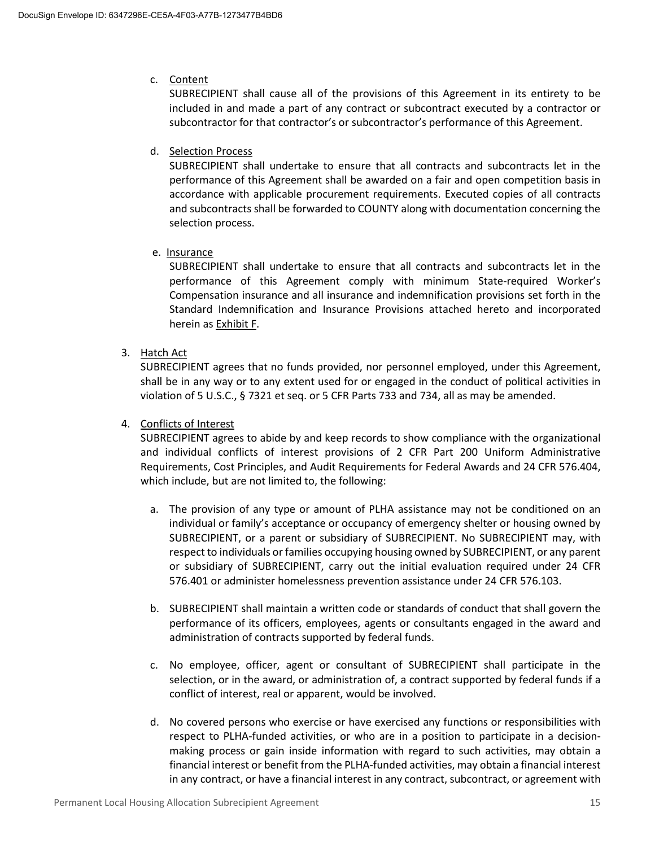#### c. Content

SUBRECIPIENT shall cause all of the provisions of this Agreement in its entirety to be included in and made a part of any contract or subcontract executed by a contractor or subcontractor for that contractor's or subcontractor's performance of this Agreement.

#### d. Selection Process

SUBRECIPIENT shall undertake to ensure that all contracts and subcontracts let in the performance of this Agreement shall be awarded on a fair and open competition basis in accordance with applicable procurement requirements. Executed copies of all contracts and subcontracts shall be forwarded to COUNTY along with documentation concerning the selection process.

#### e. Insurance

SUBRECIPIENT shall undertake to ensure that all contracts and subcontracts let in the performance of this Agreement comply with minimum State-required Worker's Compensation insurance and all insurance and indemnification provisions set forth in the Standard Indemnification and Insurance Provisions attached hereto and incorporated herein as Exhibit F.

#### 3. Hatch Act

SUBRECIPIENT agrees that no funds provided, nor personnel employed, under this Agreement, shall be in any way or to any extent used for or engaged in the conduct of political activities in violation of 5 U.S.C., § 7321 et seq. or 5 CFR Parts 733 and 734, all as may be amended.

#### 4. Conflicts of Interest

SUBRECIPIENT agrees to abide by and keep records to show compliance with the organizational and individual conflicts of interest provisions of 2 CFR Part 200 Uniform Administrative Requirements, Cost Principles, and Audit Requirements for Federal Awards and 24 CFR 576.404, which include, but are not limited to, the following:

- a. The provision of any type or amount of PLHA assistance may not be conditioned on an individual or family's acceptance or occupancy of emergency shelter or housing owned by SUBRECIPIENT, or a parent or subsidiary of SUBRECIPIENT. No SUBRECIPIENT may, with respect to individuals or families occupying housing owned by SUBRECIPIENT, or any parent or subsidiary of SUBRECIPIENT, carry out the initial evaluation required under 24 CFR 576.401 or administer homelessness prevention assistance under 24 CFR 576.103.
- b. SUBRECIPIENT shall maintain a written code or standards of conduct that shall govern the performance of its officers, employees, agents or consultants engaged in the award and administration of contracts supported by federal funds.
- c. No employee, officer, agent or consultant of SUBRECIPIENT shall participate in the selection, or in the award, or administration of, a contract supported by federal funds if a conflict of interest, real or apparent, would be involved.
- d. No covered persons who exercise or have exercised any functions or responsibilities with respect to PLHA-funded activities, or who are in a position to participate in a decisionmaking process or gain inside information with regard to such activities, may obtain a financial interest or benefit from the PLHA-funded activities, may obtain a financial interest in any contract, or have a financial interest in any contract, subcontract, or agreement with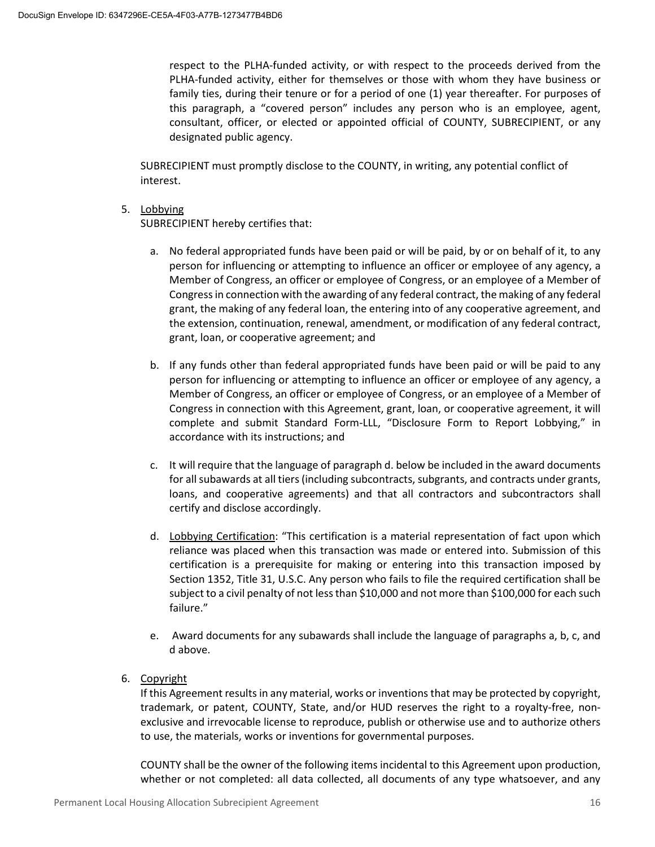respect to the PLHA-funded activity, or with respect to the proceeds derived from the PLHA-funded activity, either for themselves or those with whom they have business or family ties, during their tenure or for a period of one (1) year thereafter. For purposes of this paragraph, a "covered person" includes any person who is an employee, agent, consultant, officer, or elected or appointed official of COUNTY, SUBRECIPIENT, or any designated public agency.

SUBRECIPIENT must promptly disclose to the COUNTY, in writing, any potential conflict of interest.

#### 5. Lobbying

SUBRECIPIENT hereby certifies that:

- a. No federal appropriated funds have been paid or will be paid, by or on behalf of it, to any person for influencing or attempting to influence an officer or employee of any agency, a Member of Congress, an officer or employee of Congress, or an employee of a Member of Congress in connection with the awarding of any federal contract, the making of any federal grant, the making of any federal loan, the entering into of any cooperative agreement, and the extension, continuation, renewal, amendment, or modification of any federal contract, grant, loan, or cooperative agreement; and
- b. If any funds other than federal appropriated funds have been paid or will be paid to any person for influencing or attempting to influence an officer or employee of any agency, a Member of Congress, an officer or employee of Congress, or an employee of a Member of Congress in connection with this Agreement, grant, loan, or cooperative agreement, it will complete and submit Standard Form-LLL, "Disclosure Form to Report Lobbying," in accordance with its instructions; and
- c. It will require that the language of paragraph d. below be included in the award documents for all subawards at all tiers (including subcontracts, subgrants, and contracts under grants, loans, and cooperative agreements) and that all contractors and subcontractors shall certify and disclose accordingly.
- d. Lobbying Certification: "This certification is a material representation of fact upon which reliance was placed when this transaction was made or entered into. Submission of this certification is a prerequisite for making or entering into this transaction imposed by Section 1352, Title 31, U.S.C. Any person who fails to file the required certification shall be subject to a civil penalty of not less than \$10,000 and not more than \$100,000 for each such failure."
- e. Award documents for any subawards shall include the language of paragraphs a, b, c, and d above.
- 6. Copyright

If this Agreement results in any material, works or inventions that may be protected by copyright, trademark, or patent, COUNTY, State, and/or HUD reserves the right to a royalty-free, nonexclusive and irrevocable license to reproduce, publish or otherwise use and to authorize others to use, the materials, works or inventions for governmental purposes.

COUNTY shall be the owner of the following items incidental to this Agreement upon production, whether or not completed: all data collected, all documents of any type whatsoever, and any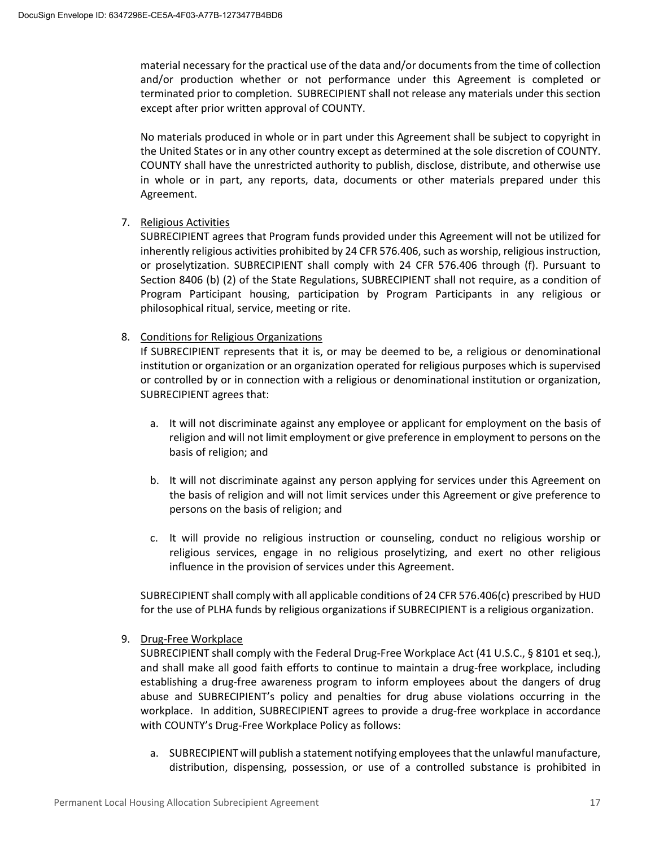material necessary for the practical use of the data and/or documents from the time of collection and/or production whether or not performance under this Agreement is completed or terminated prior to completion. SUBRECIPIENT shall not release any materials under this section except after prior written approval of COUNTY.

No materials produced in whole or in part under this Agreement shall be subject to copyright in the United States or in any other country except as determined at the sole discretion of COUNTY. COUNTY shall have the unrestricted authority to publish, disclose, distribute, and otherwise use in whole or in part, any reports, data, documents or other materials prepared under this Agreement.

#### 7. Religious Activities

SUBRECIPIENT agrees that Program funds provided under this Agreement will not be utilized for inherently religious activities prohibited by 24 CFR 576.406, such as worship, religious instruction, or proselytization. SUBRECIPIENT shall comply with 24 CFR 576.406 through (f). Pursuant to Section 8406 (b) (2) of the State Regulations, SUBRECIPIENT shall not require, as a condition of Program Participant housing, participation by Program Participants in any religious or philosophical ritual, service, meeting or rite.

#### 8. Conditions for Religious Organizations

If SUBRECIPIENT represents that it is, or may be deemed to be, a religious or denominational institution or organization or an organization operated for religious purposes which is supervised or controlled by or in connection with a religious or denominational institution or organization, SUBRECIPIENT agrees that:

- a. It will not discriminate against any employee or applicant for employment on the basis of religion and will not limit employment or give preference in employment to persons on the basis of religion; and
- b. It will not discriminate against any person applying for services under this Agreement on the basis of religion and will not limit services under this Agreement or give preference to persons on the basis of religion; and
- c. It will provide no religious instruction or counseling, conduct no religious worship or religious services, engage in no religious proselytizing, and exert no other religious influence in the provision of services under this Agreement.

SUBRECIPIENT shall comply with all applicable conditions of 24 CFR 576.406(c) prescribed by HUD for the use of PLHA funds by religious organizations if SUBRECIPIENT is a religious organization.

#### 9. Drug-Free Workplace

SUBRECIPIENT shall comply with the Federal Drug-Free Workplace Act (41 U.S.C., § 8101 et seq.), and shall make all good faith efforts to continue to maintain a drug-free workplace, including establishing a drug-free awareness program to inform employees about the dangers of drug abuse and SUBRECIPIENT's policy and penalties for drug abuse violations occurring in the workplace. In addition, SUBRECIPIENT agrees to provide a drug-free workplace in accordance with COUNTY's Drug-Free Workplace Policy as follows:

a. SUBRECIPIENT will publish a statement notifying employees that the unlawful manufacture, distribution, dispensing, possession, or use of a controlled substance is prohibited in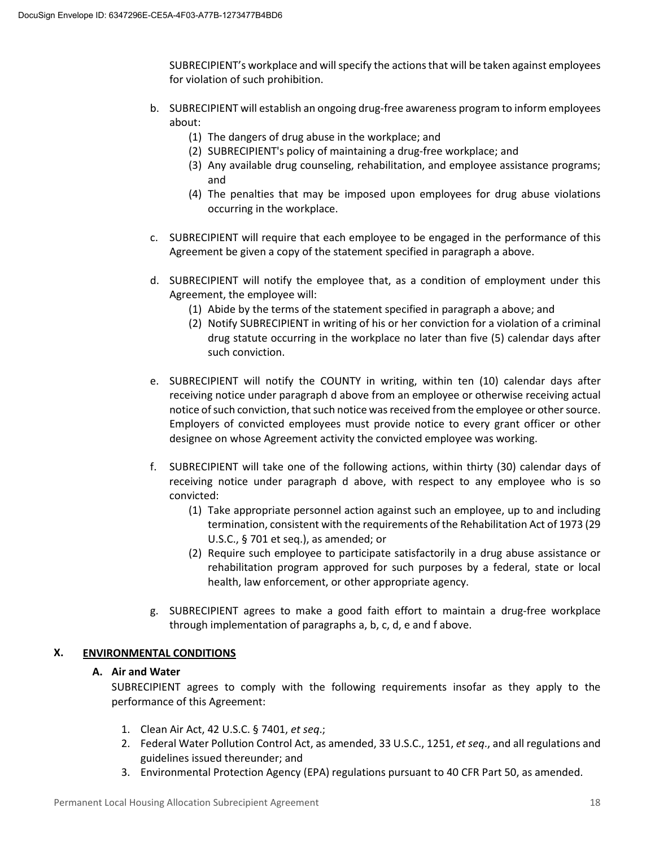SUBRECIPIENT's workplace and will specify the actions that will be taken against employees for violation of such prohibition.

- b. SUBRECIPIENT will establish an ongoing drug-free awareness program to inform employees about:
	- (1) The dangers of drug abuse in the workplace; and
	- (2) SUBRECIPIENT's policy of maintaining a drug-free workplace; and
	- (3) Any available drug counseling, rehabilitation, and employee assistance programs; and
	- (4) The penalties that may be imposed upon employees for drug abuse violations occurring in the workplace.
- c. SUBRECIPIENT will require that each employee to be engaged in the performance of this Agreement be given a copy of the statement specified in paragraph a above.
- d. SUBRECIPIENT will notify the employee that, as a condition of employment under this Agreement, the employee will:
	- (1) Abide by the terms of the statement specified in paragraph a above; and
	- (2) Notify SUBRECIPIENT in writing of his or her conviction for a violation of a criminal drug statute occurring in the workplace no later than five (5) calendar days after such conviction.
- e. SUBRECIPIENT will notify the COUNTY in writing, within ten (10) calendar days after receiving notice under paragraph d above from an employee or otherwise receiving actual notice of such conviction, that such notice was received from the employee or other source. Employers of convicted employees must provide notice to every grant officer or other designee on whose Agreement activity the convicted employee was working.
- f. SUBRECIPIENT will take one of the following actions, within thirty (30) calendar days of receiving notice under paragraph d above, with respect to any employee who is so convicted:
	- (1) Take appropriate personnel action against such an employee, up to and including termination, consistent with the requirements of the Rehabilitation Act of 1973 (29 U.S.C., § 701 et seq.), as amended; or
	- (2) Require such employee to participate satisfactorily in a drug abuse assistance or rehabilitation program approved for such purposes by a federal, state or local health, law enforcement, or other appropriate agency.
- g. SUBRECIPIENT agrees to make a good faith effort to maintain a drug-free workplace through implementation of paragraphs a, b, c, d, e and f above.

#### **X. ENVIRONMENTAL CONDITIONS**

#### **A. Air and Water**

SUBRECIPIENT agrees to comply with the following requirements insofar as they apply to the performance of this Agreement:

- 1. Clean Air Act, 42 U.S.C. § 7401, *et seq*.;
- 2. Federal Water Pollution Control Act, as amended, 33 U.S.C., 1251, *et seq*., and all regulations and guidelines issued thereunder; and
- 3. Environmental Protection Agency (EPA) regulations pursuant to 40 CFR Part 50, as amended.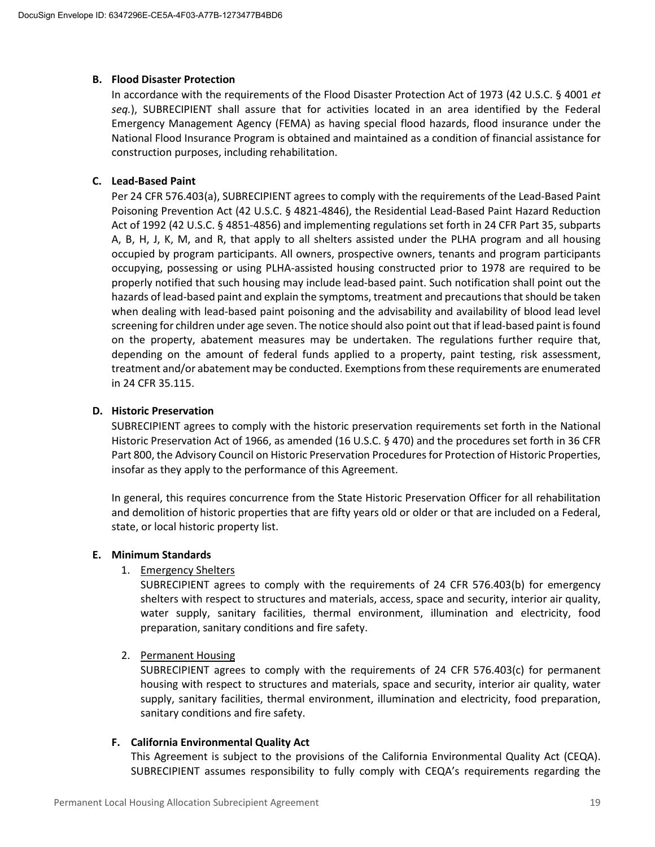#### **B. Flood Disaster Protection**

In accordance with the requirements of the Flood Disaster Protection Act of 1973 (42 U.S.C. § 4001 *et seq.*), SUBRECIPIENT shall assure that for activities located in an area identified by the Federal Emergency Management Agency (FEMA) as having special flood hazards, flood insurance under the National Flood Insurance Program is obtained and maintained as a condition of financial assistance for construction purposes, including rehabilitation.

#### **C. Lead-Based Paint**

Per 24 CFR 576.403(a), SUBRECIPIENT agrees to comply with the requirements of the Lead-Based Paint Poisoning Prevention Act (42 U.S.C. § 4821-4846), the Residential Lead-Based Paint Hazard Reduction Act of 1992 (42 U.S.C. § 4851-4856) and implementing regulations set forth in 24 CFR Part 35, subparts A, B, H, J, K, M, and R, that apply to all shelters assisted under the PLHA program and all housing occupied by program participants. All owners, prospective owners, tenants and program participants occupying, possessing or using PLHA-assisted housing constructed prior to 1978 are required to be properly notified that such housing may include lead-based paint. Such notification shall point out the hazards of lead-based paint and explain the symptoms, treatment and precautions that should be taken when dealing with lead-based paint poisoning and the advisability and availability of blood lead level screening for children under age seven. The notice should also point out that if lead-based paint is found on the property, abatement measures may be undertaken. The regulations further require that, depending on the amount of federal funds applied to a property, paint testing, risk assessment, treatment and/or abatement may be conducted. Exemptions from these requirements are enumerated in 24 CFR 35.115.

#### **D. Historic Preservation**

SUBRECIPIENT agrees to comply with the historic preservation requirements set forth in the National Historic Preservation Act of 1966, as amended (16 U.S.C. § 470) and the procedures set forth in 36 CFR Part 800, the Advisory Council on Historic Preservation Procedures for Protection of Historic Properties, insofar as they apply to the performance of this Agreement.

In general, this requires concurrence from the State Historic Preservation Officer for all rehabilitation and demolition of historic properties that are fifty years old or older or that are included on a Federal, state, or local historic property list.

#### **E. Minimum Standards**

#### 1. Emergency Shelters

SUBRECIPIENT agrees to comply with the requirements of 24 CFR 576.403(b) for emergency shelters with respect to structures and materials, access, space and security, interior air quality, water supply, sanitary facilities, thermal environment, illumination and electricity, food preparation, sanitary conditions and fire safety.

#### 2. Permanent Housing

SUBRECIPIENT agrees to comply with the requirements of 24 CFR 576.403(c) for permanent housing with respect to structures and materials, space and security, interior air quality, water supply, sanitary facilities, thermal environment, illumination and electricity, food preparation, sanitary conditions and fire safety.

#### **F. California Environmental Quality Act**

This Agreement is subject to the provisions of the California Environmental Quality Act (CEQA). SUBRECIPIENT assumes responsibility to fully comply with CEQA's requirements regarding the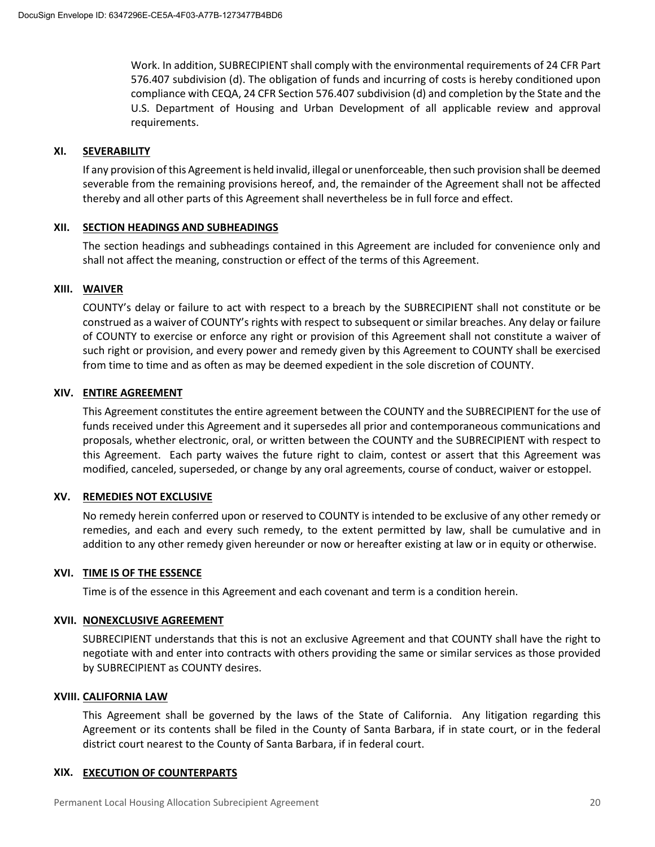Work. In addition, SUBRECIPIENT shall comply with the environmental requirements of 24 CFR Part 576.407 subdivision (d). The obligation of funds and incurring of costs is hereby conditioned upon compliance with CEQA, 24 CFR Section 576.407 subdivision (d) and completion by the State and the U.S. Department of Housing and Urban Development of all applicable review and approval requirements.

#### **XI. SEVERABILITY**

If any provision of this Agreement is held invalid, illegal or unenforceable, then such provision shall be deemed severable from the remaining provisions hereof, and, the remainder of the Agreement shall not be affected thereby and all other parts of this Agreement shall nevertheless be in full force and effect.

#### **XII. SECTION HEADINGS AND SUBHEADINGS**

The section headings and subheadings contained in this Agreement are included for convenience only and shall not affect the meaning, construction or effect of the terms of this Agreement.

#### **XIII. WAIVER**

COUNTY's delay or failure to act with respect to a breach by the SUBRECIPIENT shall not constitute or be construed as a waiver of COUNTY's rights with respect to subsequent or similar breaches. Any delay or failure of COUNTY to exercise or enforce any right or provision of this Agreement shall not constitute a waiver of such right or provision, and every power and remedy given by this Agreement to COUNTY shall be exercised from time to time and as often as may be deemed expedient in the sole discretion of COUNTY.

#### **XIV. ENTIRE AGREEMENT**

This Agreement constitutes the entire agreement between the COUNTY and the SUBRECIPIENT for the use of funds received under this Agreement and it supersedes all prior and contemporaneous communications and proposals, whether electronic, oral, or written between the COUNTY and the SUBRECIPIENT with respect to this Agreement. Each party waives the future right to claim, contest or assert that this Agreement was modified, canceled, superseded, or change by any oral agreements, course of conduct, waiver or estoppel.

#### **XV. REMEDIES NOT EXCLUSIVE**

No remedy herein conferred upon or reserved to COUNTY is intended to be exclusive of any other remedy or remedies, and each and every such remedy, to the extent permitted by law, shall be cumulative and in addition to any other remedy given hereunder or now or hereafter existing at law or in equity or otherwise.

#### **XVI. TIME IS OF THE ESSENCE**

Time is of the essence in this Agreement and each covenant and term is a condition herein.

#### **XVII. NONEXCLUSIVE AGREEMENT**

SUBRECIPIENT understands that this is not an exclusive Agreement and that COUNTY shall have the right to negotiate with and enter into contracts with others providing the same or similar services as those provided by SUBRECIPIENT as COUNTY desires.

#### **XVIII. CALIFORNIA LAW**

This Agreement shall be governed by the laws of the State of California. Any litigation regarding this Agreement or its contents shall be filed in the County of Santa Barbara, if in state court, or in the federal district court nearest to the County of Santa Barbara, if in federal court.

#### **XIX. EXECUTION OF COUNTERPARTS**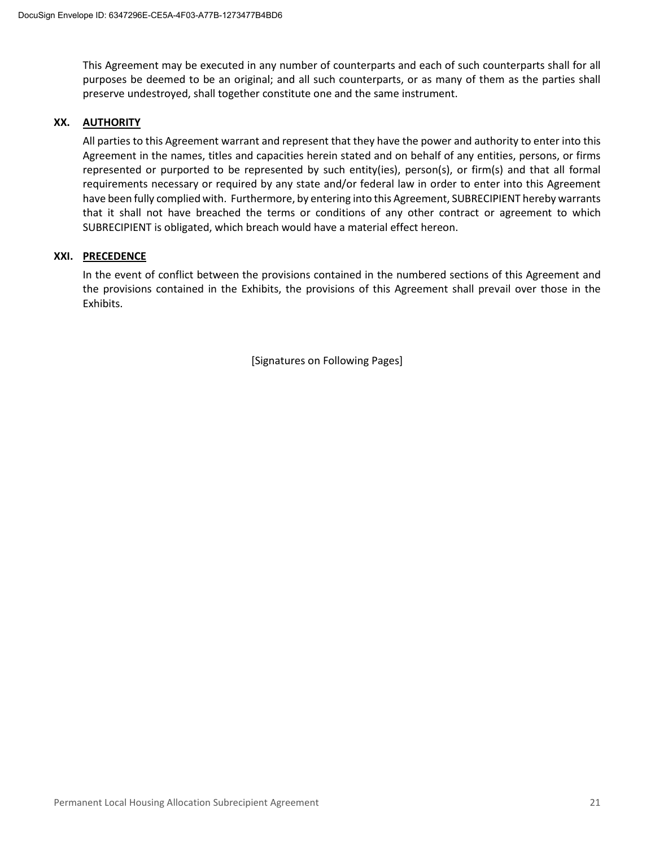This Agreement may be executed in any number of counterparts and each of such counterparts shall for all purposes be deemed to be an original; and all such counterparts, or as many of them as the parties shall preserve undestroyed, shall together constitute one and the same instrument.

#### **XX. AUTHORITY**

All parties to this Agreement warrant and represent that they have the power and authority to enter into this Agreement in the names, titles and capacities herein stated and on behalf of any entities, persons, or firms represented or purported to be represented by such entity(ies), person(s), or firm(s) and that all formal requirements necessary or required by any state and/or federal law in order to enter into this Agreement have been fully complied with. Furthermore, by entering into this Agreement, SUBRECIPIENT hereby warrants that it shall not have breached the terms or conditions of any other contract or agreement to which SUBRECIPIENT is obligated, which breach would have a material effect hereon.

#### **XXI. PRECEDENCE**

In the event of conflict between the provisions contained in the numbered sections of this Agreement and the provisions contained in the Exhibits, the provisions of this Agreement shall prevail over those in the Exhibits.

[Signatures on Following Pages]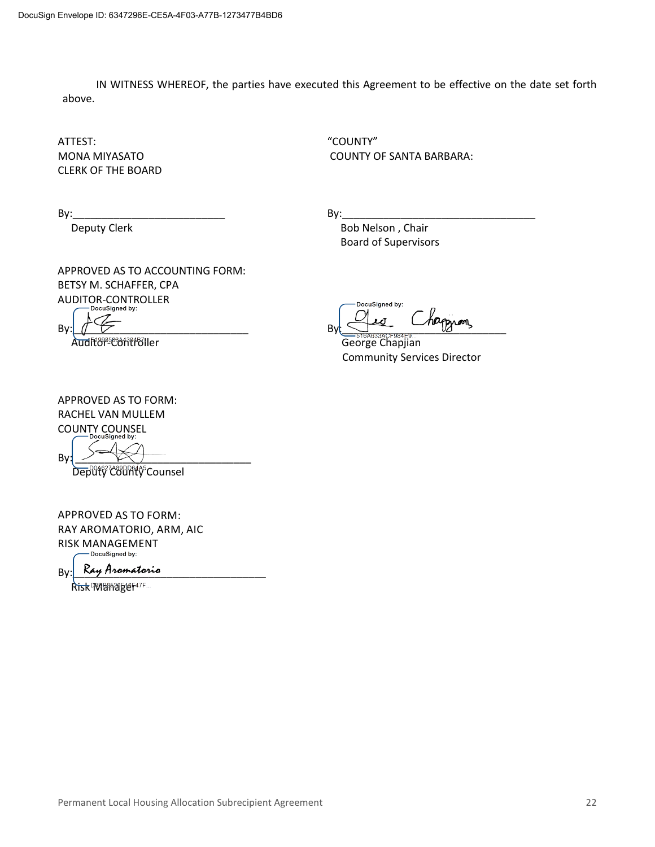IN WITNESS WHEREOF, the parties have executed this Agreement to be effective on the date set forth above.

ATTEST: "COUNTY" CLERK OF THE BOARD

MONA MIYASATOCOUNTY OF SANTA BARBARA:

By:\_\_\_\_\_\_\_\_\_\_\_\_\_\_\_\_\_\_\_\_\_\_\_\_\_\_ By:\_\_\_\_\_\_\_\_\_\_\_\_\_\_\_\_\_\_\_\_\_\_\_\_\_\_\_\_\_\_\_\_\_

Deputy Clerk **Bob Nelson**, Chair Board of Supervisors

APPROVED AS TO ACCOUNTING FORM: BETSY M. SCHAFFER, CPA AUDITOR-CONTROLLER

Ì Audit<sup>or-</sup>Controller Controller George Chapjian

DocuSigned by:  $By: \begin{picture}(10,10) \put(0,0){\line(1,0){155}} \put(10,0){\line(1,0){155}} \put(10,0){\line(1,0){155}} \put(10,0){\line(1,0){155}} \put(10,0){\line(1,0){155}} \put(10,0){\line(1,0){155}} \put(10,0){\line(1,0){155}} \put(10,0){\line(1,0){155}} \put(10,0){\line(1,0){155}} \put(10,0){\line(1,0){155}} \put(10,0){\line(1,0){155$ 

Community Services Director

APPROVED AS TO FORM: RACHEL VAN MULLEM COUNTY COUNSEL

By: \_\_\_\_\_\_\_\_\_\_\_\_\_\_\_\_\_\_\_\_\_\_\_\_\_\_\_\_\_\_ Deputy Counsel

APPROVED AS TO FORM: RAY AROMATORIO, ARM, AIC RISK MANAGEMENT

 $B_V$ : Ray Aromatorio

Risk Waanager47F.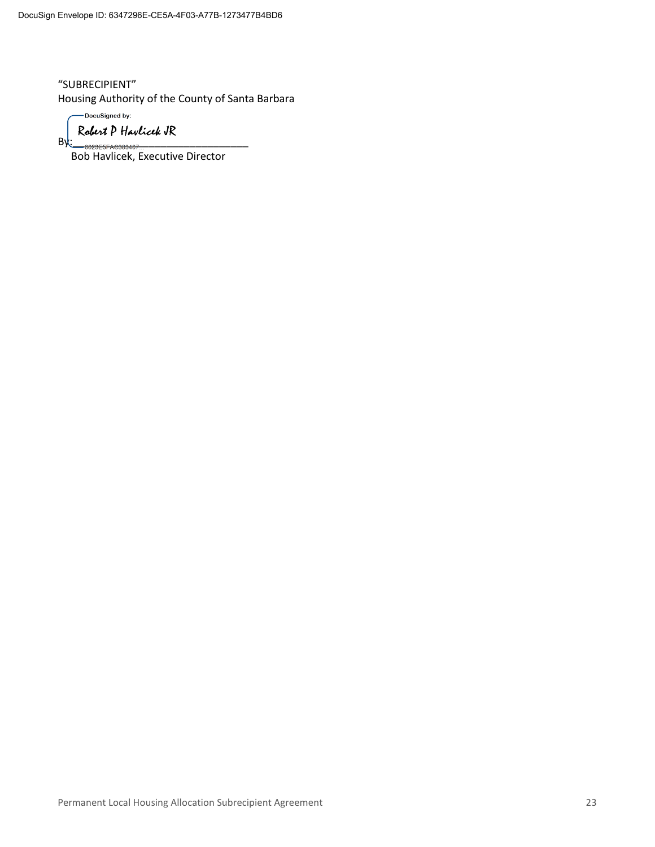"SUBRECIPIENT" Housing Authority of the County of Santa Barbara

-DocuSigned by:

By: essere 833407 \_\_\_\_\_\_\_\_\_\_\_\_\_\_\_\_\_\_\_\_\_\_\_

Bob Havlicek, Executive Director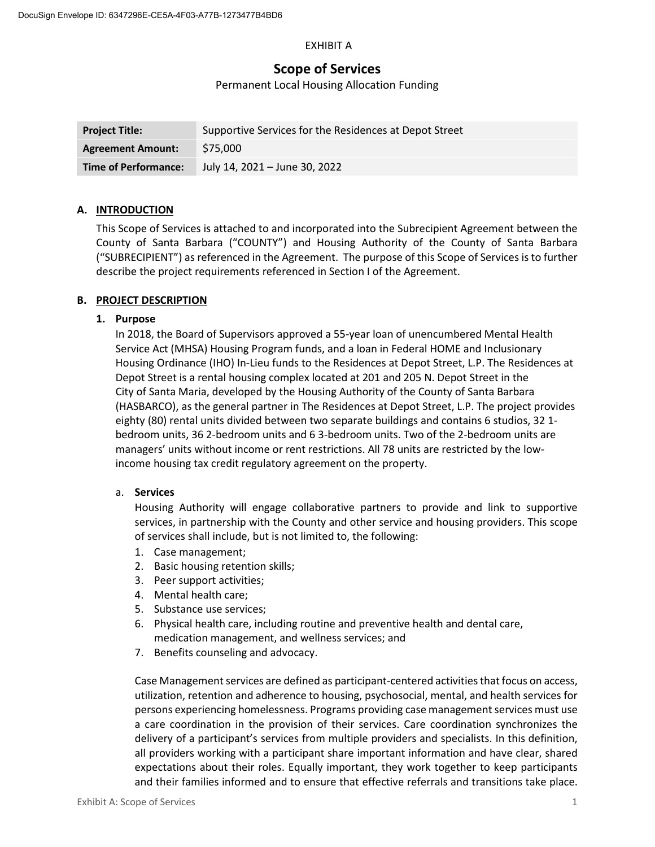#### EXHIBIT A

# **Scope of Services**

#### Permanent Local Housing Allocation Funding

| <b>Project Title:</b>       | Supportive Services for the Residences at Depot Street |
|-----------------------------|--------------------------------------------------------|
| <b>Agreement Amount:</b>    | \$75,000                                               |
| <b>Time of Performance:</b> | July 14, 2021 - June 30, 2022                          |

#### **A. INTRODUCTION**

This Scope of Services is attached to and incorporated into the Subrecipient Agreement between the County of Santa Barbara ("COUNTY") and Housing Authority of the County of Santa Barbara ("SUBRECIPIENT") as referenced in the Agreement. The purpose of this Scope of Services is to further describe the project requirements referenced in Section I of the Agreement.

#### **B. PROJECT DESCRIPTION**

#### **1. Purpose**

In 2018, the Board of Supervisors approved a 55-year loan of unencumbered Mental Health Service Act (MHSA) Housing Program funds, and a loan in Federal HOME and Inclusionary Housing Ordinance (IHO) In-Lieu funds to the Residences at Depot Street, L.P. The Residences at Depot Street is a rental housing complex located at 201 and 205 N. Depot Street in the City of Santa Maria, developed by the Housing Authority of the County of Santa Barbara (HASBARCO), as the general partner in The Residences at Depot Street, L.P. The project provides eighty (80) rental units divided between two separate buildings and contains 6 studios, 32 1 bedroom units, 36 2-bedroom units and 6 3-bedroom units. Two of the 2-bedroom units are managers' units without income or rent restrictions. All 78 units are restricted by the lowincome housing tax credit regulatory agreement on the property.

#### a. **Services**

Housing Authority will engage collaborative partners to provide and link to supportive services, in partnership with the County and other service and housing providers. This scope of services shall include, but is not limited to, the following:

- 1. Case management;
- 2. Basic housing retention skills;
- 3. Peer support activities;
- 4. Mental health care;
- 5. Substance use services;
- 6. Physical health care, including routine and preventive health and dental care, medication management, and wellness services; and
- 7. Benefits counseling and advocacy.

Case Management services are defined as participant-centered activities that focus on access, utilization, retention and adherence to housing, psychosocial, mental, and health services for persons experiencing homelessness. Programs providing case management services must use a care coordination in the provision of their services. Care coordination synchronizes the delivery of a participant's services from multiple providers and specialists. In this definition, all providers working with a participant share important information and have clear, shared expectations about their roles. Equally important, they work together to keep participants and their families informed and to ensure that effective referrals and transitions take place.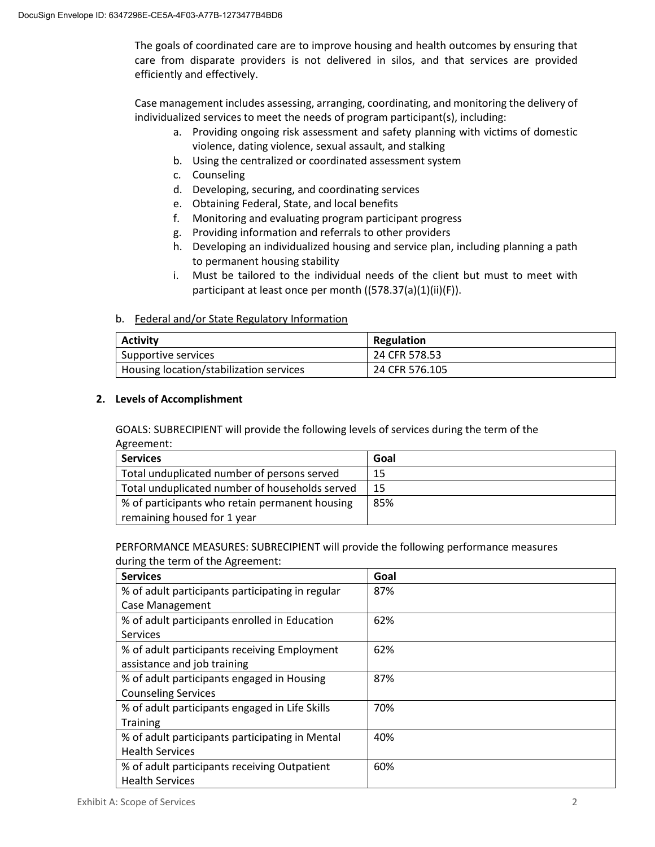The goals of coordinated care are to improve housing and health outcomes by ensuring that care from disparate providers is not delivered in silos, and that services are provided efficiently and effectively.

Case management includes assessing, arranging, coordinating, and monitoring the delivery of individualized services to meet the needs of program participant(s), including:

- a. Providing ongoing risk assessment and safety planning with victims of domestic violence, dating violence, sexual assault, and stalking
- b. Using the centralized or coordinated assessment system
- c. Counseling
- d. Developing, securing, and coordinating services
- e. Obtaining Federal, State, and local benefits
- f. Monitoring and evaluating program participant progress
- g. Providing information and referrals to other providers
- h. Developing an individualized housing and service plan, including planning a path to permanent housing stability
- i. Must be tailored to the individual needs of the client but must to meet with participant at least once per month ((578.37(a)(1)(ii)(F)).

#### b. Federal and/or State Regulatory Information

| <b>Activity</b>                         | Regulation     |
|-----------------------------------------|----------------|
| Supportive services                     | 24 CFR 578.53  |
| Housing location/stabilization services | 24 CFR 576.105 |

#### **2. Levels of Accomplishment**

GOALS: SUBRECIPIENT will provide the following levels of services during the term of the Agreement:

| <b>Services</b>                                | Goal |
|------------------------------------------------|------|
| Total unduplicated number of persons served    | 15   |
| Total unduplicated number of households served | 15   |
| % of participants who retain permanent housing | 85%  |
| remaining housed for 1 year                    |      |

#### PERFORMANCE MEASURES: SUBRECIPIENT will provide the following performance measures during the term of the Agreement:

| <b>Services</b>                                  | Goal |
|--------------------------------------------------|------|
| % of adult participants participating in regular | 87%  |
| <b>Case Management</b>                           |      |
| % of adult participants enrolled in Education    | 62%  |
| <b>Services</b>                                  |      |
| % of adult participants receiving Employment     | 62%  |
| assistance and job training                      |      |
| % of adult participants engaged in Housing       | 87%  |
| <b>Counseling Services</b>                       |      |
| % of adult participants engaged in Life Skills   | 70%  |
| <b>Training</b>                                  |      |
| % of adult participants participating in Mental  | 40%  |
| <b>Health Services</b>                           |      |
| % of adult participants receiving Outpatient     | 60%  |
| <b>Health Services</b>                           |      |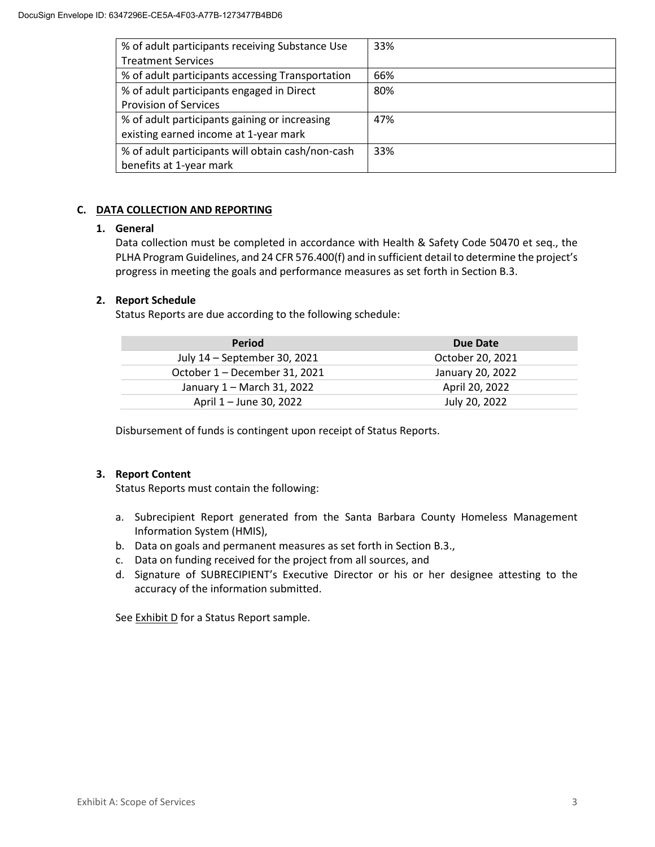| % of adult participants receiving Substance Use   | 33% |
|---------------------------------------------------|-----|
| <b>Treatment Services</b>                         |     |
| % of adult participants accessing Transportation  | 66% |
| % of adult participants engaged in Direct         | 80% |
| <b>Provision of Services</b>                      |     |
| % of adult participants gaining or increasing     | 47% |
| existing earned income at 1-year mark             |     |
| % of adult participants will obtain cash/non-cash | 33% |
| benefits at 1-year mark                           |     |

#### **C. DATA COLLECTION AND REPORTING**

#### **1. General**

Data collection must be completed in accordance with Health & Safety Code 50470 et seq., the PLHA Program Guidelines, and 24 CFR 576.400(f) and in sufficient detail to determine the project's progress in meeting the goals and performance measures as set forth in Section B.3.

#### **2. Report Schedule**

Status Reports are due according to the following schedule:

| <b>Period</b>                 | Due Date         |
|-------------------------------|------------------|
| July 14 - September 30, 2021  | October 20, 2021 |
| October 1 - December 31, 2021 | January 20, 2022 |
| January 1 – March 31, 2022    | April 20, 2022   |
| April 1 – June 30, 2022       | July 20, 2022    |

Disbursement of funds is contingent upon receipt of Status Reports.

#### **3. Report Content**

Status Reports must contain the following:

- a. Subrecipient Report generated from the Santa Barbara County Homeless Management Information System (HMIS),
- b. Data on goals and permanent measures as set forth in Section B.3.,
- c. Data on funding received for the project from all sources, and
- d. Signature of SUBRECIPIENT's Executive Director or his or her designee attesting to the accuracy of the information submitted.

See Exhibit D for a Status Report sample.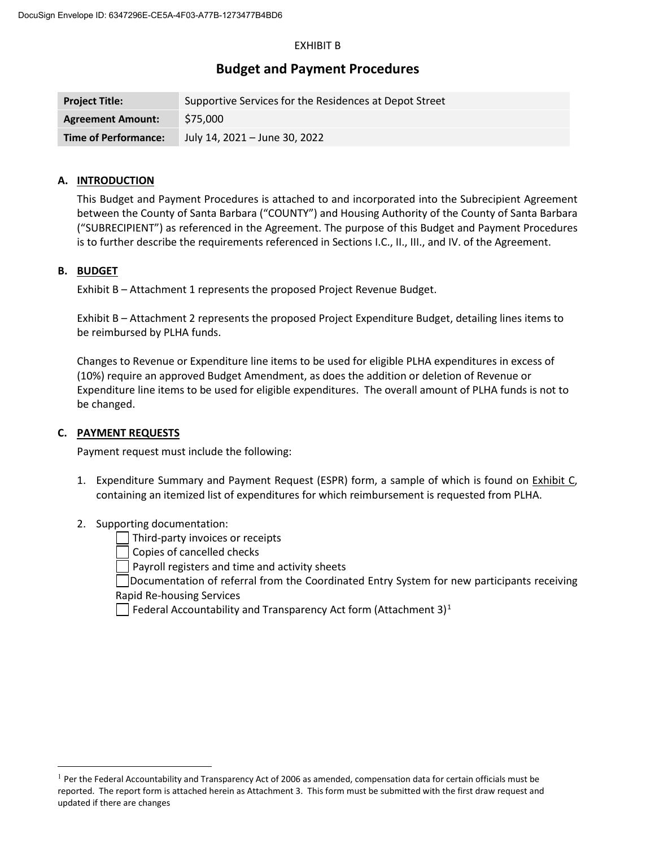#### EXHIBIT B

### **Budget and Payment Procedures**

| <b>Project Title:</b>       | Supportive Services for the Residences at Depot Street |
|-----------------------------|--------------------------------------------------------|
| <b>Agreement Amount:</b>    | \$75,000                                               |
| <b>Time of Performance:</b> | July 14, 2021 - June 30, 2022                          |

#### **A. INTRODUCTION**

This Budget and Payment Procedures is attached to and incorporated into the Subrecipient Agreement between the County of Santa Barbara ("COUNTY") and Housing Authority of the County of Santa Barbara ("SUBRECIPIENT") as referenced in the Agreement. The purpose of this Budget and Payment Procedures is to further describe the requirements referenced in Sections I.C., II., III., and IV. of the Agreement.

#### **B. BUDGET**

Exhibit B – Attachment 1 represents the proposed Project Revenue Budget.

Exhibit B – Attachment 2 represents the proposed Project Expenditure Budget, detailing lines items to be reimbursed by PLHA funds.

Changes to Revenue or Expenditure line items to be used for eligible PLHA expenditures in excess of (10%) require an approved Budget Amendment, as does the addition or deletion of Revenue or Expenditure line items to be used for eligible expenditures. The overall amount of PLHA funds is not to be changed.

#### **C. PAYMENT REQUESTS**

Payment request must include the following:

- 1. Expenditure Summary and Payment Request (ESPR) form, a sample of which is found on Exhibit C, containing an itemized list of expenditures for which reimbursement is requested from PLHA.
- 2. Supporting documentation:

Third-party invoices or receipts

Copies of cancelled checks

Payroll registers and time and activity sheets

Documentation of referral from the Coordinated Entry System for new participants receiving Rapid Re-housing Services

Federal Accountability and Transparency Act form (Attachment 3) $<sup>1</sup>$  $<sup>1</sup>$  $<sup>1</sup>$ </sup>

 $<sup>1</sup>$  Per the Federal Accountability and Transparency Act of 2006 as amended, compensation data for certain officials must be</sup> reported. The report form is attached herein as Attachment 3. This form must be submitted with the first draw request and updated if there are changes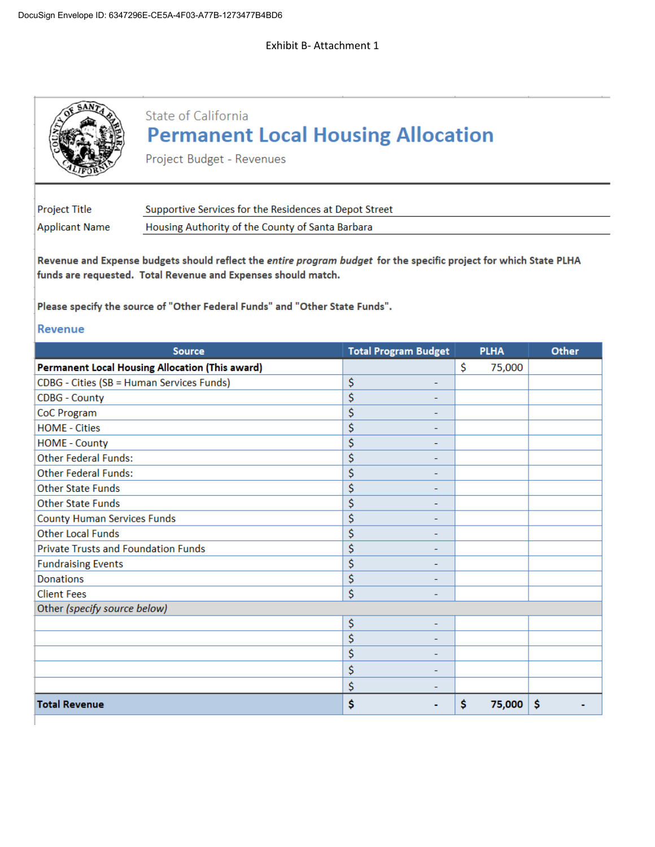ı

|                                            | State of California<br><b>Permanent Local Housing Allocation</b><br>Project Budget - Revenues                                                                                                                                                                      |                             |              |       |
|--------------------------------------------|--------------------------------------------------------------------------------------------------------------------------------------------------------------------------------------------------------------------------------------------------------------------|-----------------------------|--------------|-------|
| <b>Project Title</b>                       | Supportive Services for the Residences at Depot Street                                                                                                                                                                                                             |                             |              |       |
| <b>Applicant Name</b>                      | Housing Authority of the County of Santa Barbara                                                                                                                                                                                                                   |                             |              |       |
|                                            | Revenue and Expense budgets should reflect the entire program budget for the specific project for which State PLHA<br>funds are requested. Total Revenue and Expenses should match.<br>Please specify the source of "Other Federal Funds" and "Other State Funds". |                             |              |       |
| <b>Revenue</b>                             |                                                                                                                                                                                                                                                                    |                             |              |       |
|                                            | <b>Source</b>                                                                                                                                                                                                                                                      | <b>Total Program Budget</b> | <b>PLHA</b>  | Other |
|                                            | <b>Permanent Local Housing Allocation (This award)</b>                                                                                                                                                                                                             |                             | \$<br>75,000 |       |
| CDBG - Cities (SB = Human Services Funds)  |                                                                                                                                                                                                                                                                    | \$                          |              |       |
| <b>CDBG - County</b>                       |                                                                                                                                                                                                                                                                    | \$                          |              |       |
| CoC Program                                |                                                                                                                                                                                                                                                                    | \$                          |              |       |
| <b>HOME - Cities</b>                       |                                                                                                                                                                                                                                                                    | \$<br>۰                     |              |       |
| <b>HOME - County</b>                       |                                                                                                                                                                                                                                                                    | \$                          |              |       |
| <b>Other Federal Funds:</b>                |                                                                                                                                                                                                                                                                    | \$                          |              |       |
| <b>Other Federal Funds:</b>                |                                                                                                                                                                                                                                                                    | \$                          |              |       |
| <b>Other State Funds</b>                   |                                                                                                                                                                                                                                                                    | \$                          |              |       |
| <b>Other State Funds</b>                   |                                                                                                                                                                                                                                                                    | \$<br>-                     |              |       |
| <b>County Human Services Funds</b>         |                                                                                                                                                                                                                                                                    | \$<br>٠                     |              |       |
| <b>Other Local Funds</b>                   |                                                                                                                                                                                                                                                                    | \$                          |              |       |
| <b>Private Trusts and Foundation Funds</b> |                                                                                                                                                                                                                                                                    | \$                          |              |       |
| <b>Fundraising Events</b>                  |                                                                                                                                                                                                                                                                    | \$                          |              |       |
| <b>Donations</b>                           |                                                                                                                                                                                                                                                                    | \$                          |              |       |
| <b>Client Fees</b>                         |                                                                                                                                                                                                                                                                    | \$                          |              |       |
| Other (specify source below)               |                                                                                                                                                                                                                                                                    |                             |              |       |
|                                            |                                                                                                                                                                                                                                                                    | \$                          |              |       |
|                                            |                                                                                                                                                                                                                                                                    | \$<br>۰                     |              |       |
|                                            |                                                                                                                                                                                                                                                                    | \$                          |              |       |
|                                            |                                                                                                                                                                                                                                                                    | \$<br>۰                     |              |       |
|                                            |                                                                                                                                                                                                                                                                    | \$<br>۰                     |              |       |
| <b>Total Revenue</b>                       |                                                                                                                                                                                                                                                                    | \$<br>۰                     | \$<br>75,000 | \$    |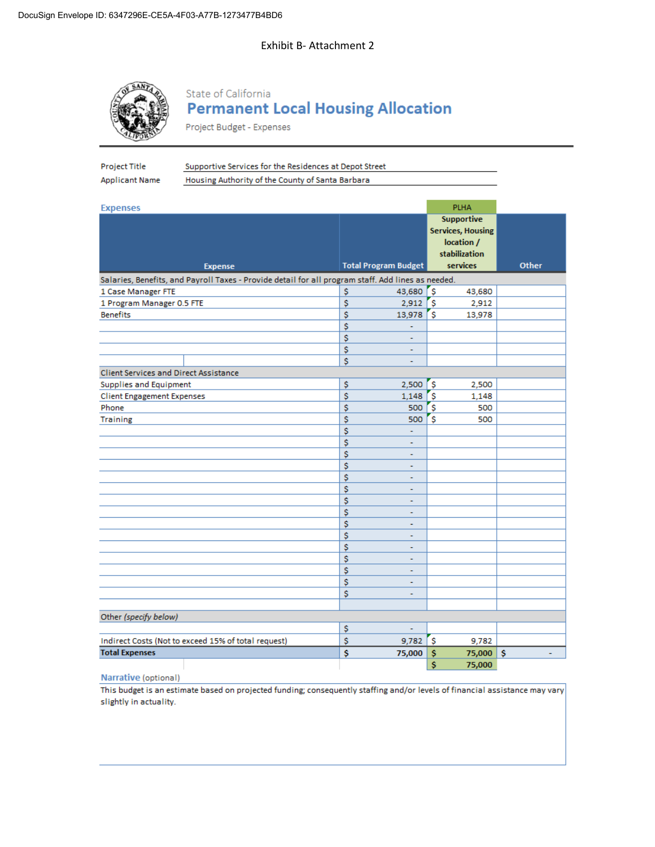#### Exhibit B- Attachment 2



# State of California **Permanent Local Housing Allocation**

Project Budget - Expenses

| Housing Authority of the County of Santa Barbara<br><b>Applicant Name</b><br><b>PLHA</b><br><b>Expenses</b><br><b>Supportive</b><br><b>Services, Housing</b><br>location /<br>stabilization<br><b>Total Program Budget</b><br>services<br>Other<br><b>Expense</b><br>Salaries, Benefits, and Payroll Taxes - Provide detail for all program staff. Add lines as needed.<br>'s<br>\$<br>43,680<br>1 Case Manager FTE<br>43,680<br>'s<br>\$<br>2,912<br>1 Program Manager 0.5 FTE<br>2,912<br>\$<br><b>Benefits</b><br>13,978<br>`\$<br>13,978<br>\$<br>\$<br>٠<br>\$<br>÷<br>\$<br>÷<br><b>Client Services and Direct Assistance</b><br>Supplies and Equipment<br>\$<br>2,500<br>'S<br>2,500<br>\$<br>'s<br><b>Client Engagement Expenses</b><br>1,148<br>1,148<br>\$<br>500<br>s<br>Phone<br>500<br>\$<br>S<br><b>Training</b><br>500<br>500<br>\$<br>÷<br>\$<br>÷<br>\$<br>÷<br>\$<br>ä,<br>\$<br>÷,<br>\$<br>ä,<br>\$<br>۰<br>\$<br>٠<br>\$<br>÷<br>\$<br>÷.<br>\$<br>÷,<br>\$<br>÷<br>\$<br>÷<br>\$<br>٠<br>\$<br>٠<br>Other (specify below)<br>\$<br>ä,<br>Indirect Costs (Not to exceed 15% of total request)<br>\$<br>9,782<br><b>Ş</b><br>9,782<br><b>Total Expenses</b><br>Ś<br>$75,000$ \$<br>75,000 \$ | Project Title | Supportive Services for the Residences at Depot Street |  |  |  |
|------------------------------------------------------------------------------------------------------------------------------------------------------------------------------------------------------------------------------------------------------------------------------------------------------------------------------------------------------------------------------------------------------------------------------------------------------------------------------------------------------------------------------------------------------------------------------------------------------------------------------------------------------------------------------------------------------------------------------------------------------------------------------------------------------------------------------------------------------------------------------------------------------------------------------------------------------------------------------------------------------------------------------------------------------------------------------------------------------------------------------------------------------------------------------------------------------------------|---------------|--------------------------------------------------------|--|--|--|
|                                                                                                                                                                                                                                                                                                                                                                                                                                                                                                                                                                                                                                                                                                                                                                                                                                                                                                                                                                                                                                                                                                                                                                                                                  |               |                                                        |  |  |  |
|                                                                                                                                                                                                                                                                                                                                                                                                                                                                                                                                                                                                                                                                                                                                                                                                                                                                                                                                                                                                                                                                                                                                                                                                                  |               |                                                        |  |  |  |
|                                                                                                                                                                                                                                                                                                                                                                                                                                                                                                                                                                                                                                                                                                                                                                                                                                                                                                                                                                                                                                                                                                                                                                                                                  |               |                                                        |  |  |  |
|                                                                                                                                                                                                                                                                                                                                                                                                                                                                                                                                                                                                                                                                                                                                                                                                                                                                                                                                                                                                                                                                                                                                                                                                                  |               |                                                        |  |  |  |
|                                                                                                                                                                                                                                                                                                                                                                                                                                                                                                                                                                                                                                                                                                                                                                                                                                                                                                                                                                                                                                                                                                                                                                                                                  |               |                                                        |  |  |  |
|                                                                                                                                                                                                                                                                                                                                                                                                                                                                                                                                                                                                                                                                                                                                                                                                                                                                                                                                                                                                                                                                                                                                                                                                                  |               |                                                        |  |  |  |
|                                                                                                                                                                                                                                                                                                                                                                                                                                                                                                                                                                                                                                                                                                                                                                                                                                                                                                                                                                                                                                                                                                                                                                                                                  |               |                                                        |  |  |  |
|                                                                                                                                                                                                                                                                                                                                                                                                                                                                                                                                                                                                                                                                                                                                                                                                                                                                                                                                                                                                                                                                                                                                                                                                                  |               |                                                        |  |  |  |
|                                                                                                                                                                                                                                                                                                                                                                                                                                                                                                                                                                                                                                                                                                                                                                                                                                                                                                                                                                                                                                                                                                                                                                                                                  |               |                                                        |  |  |  |
|                                                                                                                                                                                                                                                                                                                                                                                                                                                                                                                                                                                                                                                                                                                                                                                                                                                                                                                                                                                                                                                                                                                                                                                                                  |               |                                                        |  |  |  |
|                                                                                                                                                                                                                                                                                                                                                                                                                                                                                                                                                                                                                                                                                                                                                                                                                                                                                                                                                                                                                                                                                                                                                                                                                  |               |                                                        |  |  |  |
|                                                                                                                                                                                                                                                                                                                                                                                                                                                                                                                                                                                                                                                                                                                                                                                                                                                                                                                                                                                                                                                                                                                                                                                                                  |               |                                                        |  |  |  |
|                                                                                                                                                                                                                                                                                                                                                                                                                                                                                                                                                                                                                                                                                                                                                                                                                                                                                                                                                                                                                                                                                                                                                                                                                  |               |                                                        |  |  |  |
|                                                                                                                                                                                                                                                                                                                                                                                                                                                                                                                                                                                                                                                                                                                                                                                                                                                                                                                                                                                                                                                                                                                                                                                                                  |               |                                                        |  |  |  |
|                                                                                                                                                                                                                                                                                                                                                                                                                                                                                                                                                                                                                                                                                                                                                                                                                                                                                                                                                                                                                                                                                                                                                                                                                  |               |                                                        |  |  |  |
|                                                                                                                                                                                                                                                                                                                                                                                                                                                                                                                                                                                                                                                                                                                                                                                                                                                                                                                                                                                                                                                                                                                                                                                                                  |               |                                                        |  |  |  |
|                                                                                                                                                                                                                                                                                                                                                                                                                                                                                                                                                                                                                                                                                                                                                                                                                                                                                                                                                                                                                                                                                                                                                                                                                  |               |                                                        |  |  |  |
|                                                                                                                                                                                                                                                                                                                                                                                                                                                                                                                                                                                                                                                                                                                                                                                                                                                                                                                                                                                                                                                                                                                                                                                                                  |               |                                                        |  |  |  |
|                                                                                                                                                                                                                                                                                                                                                                                                                                                                                                                                                                                                                                                                                                                                                                                                                                                                                                                                                                                                                                                                                                                                                                                                                  |               |                                                        |  |  |  |
|                                                                                                                                                                                                                                                                                                                                                                                                                                                                                                                                                                                                                                                                                                                                                                                                                                                                                                                                                                                                                                                                                                                                                                                                                  |               |                                                        |  |  |  |
|                                                                                                                                                                                                                                                                                                                                                                                                                                                                                                                                                                                                                                                                                                                                                                                                                                                                                                                                                                                                                                                                                                                                                                                                                  |               |                                                        |  |  |  |
|                                                                                                                                                                                                                                                                                                                                                                                                                                                                                                                                                                                                                                                                                                                                                                                                                                                                                                                                                                                                                                                                                                                                                                                                                  |               |                                                        |  |  |  |
|                                                                                                                                                                                                                                                                                                                                                                                                                                                                                                                                                                                                                                                                                                                                                                                                                                                                                                                                                                                                                                                                                                                                                                                                                  |               |                                                        |  |  |  |
|                                                                                                                                                                                                                                                                                                                                                                                                                                                                                                                                                                                                                                                                                                                                                                                                                                                                                                                                                                                                                                                                                                                                                                                                                  |               |                                                        |  |  |  |
|                                                                                                                                                                                                                                                                                                                                                                                                                                                                                                                                                                                                                                                                                                                                                                                                                                                                                                                                                                                                                                                                                                                                                                                                                  |               |                                                        |  |  |  |
|                                                                                                                                                                                                                                                                                                                                                                                                                                                                                                                                                                                                                                                                                                                                                                                                                                                                                                                                                                                                                                                                                                                                                                                                                  |               |                                                        |  |  |  |
|                                                                                                                                                                                                                                                                                                                                                                                                                                                                                                                                                                                                                                                                                                                                                                                                                                                                                                                                                                                                                                                                                                                                                                                                                  |               |                                                        |  |  |  |
|                                                                                                                                                                                                                                                                                                                                                                                                                                                                                                                                                                                                                                                                                                                                                                                                                                                                                                                                                                                                                                                                                                                                                                                                                  |               |                                                        |  |  |  |
|                                                                                                                                                                                                                                                                                                                                                                                                                                                                                                                                                                                                                                                                                                                                                                                                                                                                                                                                                                                                                                                                                                                                                                                                                  |               |                                                        |  |  |  |
|                                                                                                                                                                                                                                                                                                                                                                                                                                                                                                                                                                                                                                                                                                                                                                                                                                                                                                                                                                                                                                                                                                                                                                                                                  |               |                                                        |  |  |  |
|                                                                                                                                                                                                                                                                                                                                                                                                                                                                                                                                                                                                                                                                                                                                                                                                                                                                                                                                                                                                                                                                                                                                                                                                                  |               |                                                        |  |  |  |
|                                                                                                                                                                                                                                                                                                                                                                                                                                                                                                                                                                                                                                                                                                                                                                                                                                                                                                                                                                                                                                                                                                                                                                                                                  |               |                                                        |  |  |  |
|                                                                                                                                                                                                                                                                                                                                                                                                                                                                                                                                                                                                                                                                                                                                                                                                                                                                                                                                                                                                                                                                                                                                                                                                                  |               |                                                        |  |  |  |
|                                                                                                                                                                                                                                                                                                                                                                                                                                                                                                                                                                                                                                                                                                                                                                                                                                                                                                                                                                                                                                                                                                                                                                                                                  |               |                                                        |  |  |  |
|                                                                                                                                                                                                                                                                                                                                                                                                                                                                                                                                                                                                                                                                                                                                                                                                                                                                                                                                                                                                                                                                                                                                                                                                                  |               |                                                        |  |  |  |
|                                                                                                                                                                                                                                                                                                                                                                                                                                                                                                                                                                                                                                                                                                                                                                                                                                                                                                                                                                                                                                                                                                                                                                                                                  |               |                                                        |  |  |  |
|                                                                                                                                                                                                                                                                                                                                                                                                                                                                                                                                                                                                                                                                                                                                                                                                                                                                                                                                                                                                                                                                                                                                                                                                                  |               |                                                        |  |  |  |
|                                                                                                                                                                                                                                                                                                                                                                                                                                                                                                                                                                                                                                                                                                                                                                                                                                                                                                                                                                                                                                                                                                                                                                                                                  |               |                                                        |  |  |  |
|                                                                                                                                                                                                                                                                                                                                                                                                                                                                                                                                                                                                                                                                                                                                                                                                                                                                                                                                                                                                                                                                                                                                                                                                                  |               |                                                        |  |  |  |
|                                                                                                                                                                                                                                                                                                                                                                                                                                                                                                                                                                                                                                                                                                                                                                                                                                                                                                                                                                                                                                                                                                                                                                                                                  |               |                                                        |  |  |  |

Narrative (optional)

This budget is an estimate based on projected funding; consequently staffing and/or levels of financial assistance may vary slightly in actuality.

\$

 $\pmb{\mathsf{S}}$ \$ 75,000 \$

75,000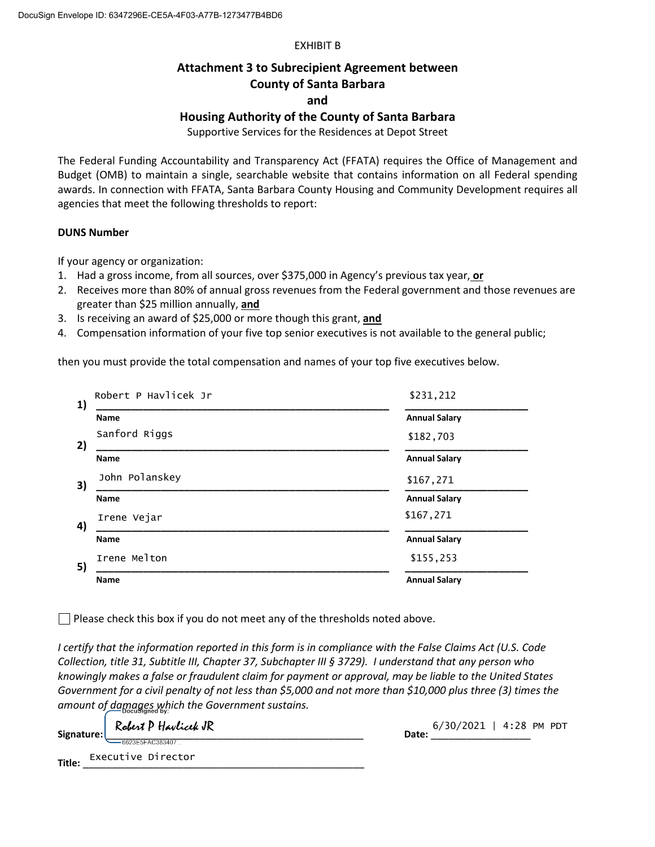#### EXHIBIT B

### **Attachment 3 to Subrecipient Agreement between County of Santa Barbara**

**and**

### **Housing Authority of the County of Santa Barbara**

Supportive Services for the Residences at Depot Street

The Federal Funding Accountability and Transparency Act (FFATA) requires the Office of Management and Budget (OMB) to maintain a single, searchable website that contains information on all Federal spending awards. In connection with FFATA, Santa Barbara County Housing and Community Development requires all agencies that meet the following thresholds to report:

#### **DUNS Number**

If your agency or organization:

- 1. Had a gross income, from all sources, over \$375,000 in Agency's previous tax year, **or**
- 2. Receives more than 80% of annual gross revenues from the Federal government and those revenues are greater than \$25 million annually, **and**
- 3. Is receiving an award of \$25,000 or more though this grant, **and**
- 4. Compensation information of your five top senior executives is not available to the general public;

then you must provide the total compensation and names of your top five executives below.

| 1) | Robert P Havlicek Jr                                                                                                                                                                                                                           | \$231,212            |
|----|------------------------------------------------------------------------------------------------------------------------------------------------------------------------------------------------------------------------------------------------|----------------------|
|    | <b>Name</b>                                                                                                                                                                                                                                    | <b>Annual Salary</b> |
| 2) | Sanford Riggs<br>the control of the control of the control of the control of the control of the control of the control of the control of the control of the control of the control of the control of the control of the control of the control | \$182,703            |
|    | <b>Name</b>                                                                                                                                                                                                                                    | <b>Annual Salary</b> |
| 3) | John Polanskey                                                                                                                                                                                                                                 | \$167,271            |
|    | <b>Name</b>                                                                                                                                                                                                                                    | <b>Annual Salary</b> |
| 4) | Irene Vejar                                                                                                                                                                                                                                    | \$167,271            |
|    | <b>Name</b>                                                                                                                                                                                                                                    | <b>Annual Salary</b> |
| 5) | Irene Melton                                                                                                                                                                                                                                   | \$155,253            |
|    | Name                                                                                                                                                                                                                                           | <b>Annual Salary</b> |

 $\Box$  Please check this box if you do not meet any of the thresholds noted above.

*I certify that the information reported in this form is in compliance with the False Claims Act (U.S. Code Collection, title 31, Subtitle III, Chapter 37, Subchapter III § 3729). I understand that any person who knowingly makes a false or fraudulent claim for payment or approval, may be liable to the United States Government for a civil penalty of not less than \$5,000 and not more than \$10,000 plus three (3) times the amount of damages which the Government sustains.*

| Signature: | Robert P Havlicek JR | Date: | $6/30/2021$   4:28 PM PDT |  |  |
|------------|----------------------|-------|---------------------------|--|--|
|            | $-6623F5FAC383407$   |       |                           |  |  |
| Title:     | Executive Director   |       |                           |  |  |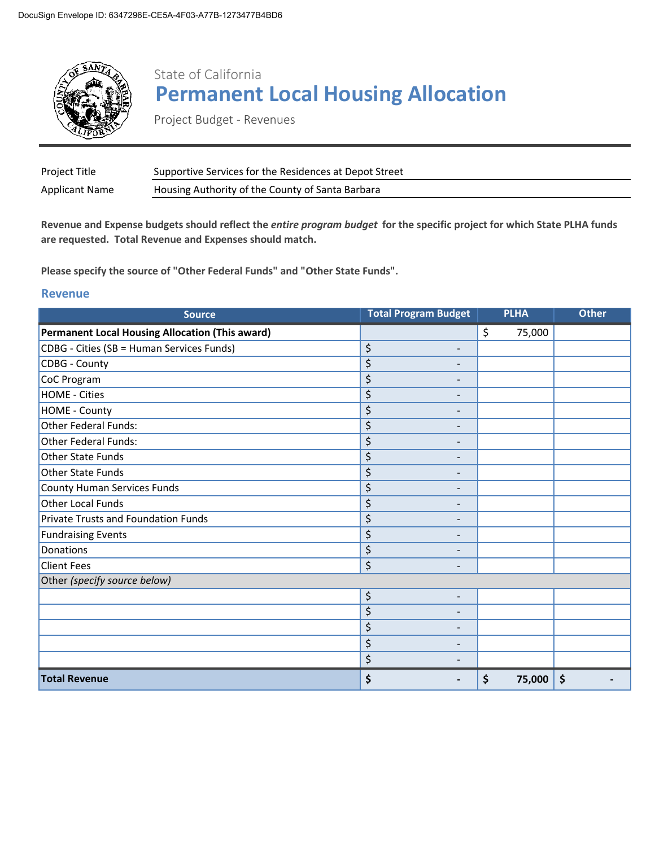

# State of California **Permanent Local Housing Allocation**

Project Budget - Revenues

| Project Title  | Supportive Services for the Residences at Depot Street |
|----------------|--------------------------------------------------------|
| Applicant Name | Housing Authority of the County of Santa Barbara       |

**Revenue and Expense budgets should reflect the** *entire program budget* **for the specific project for which State PLHA funds are requested. Total Revenue and Expenses should match.**

**Please specify the source of "Other Federal Funds" and "Other State Funds".**

#### **Revenue**

| <b>Source</b>                                          | <b>Total Program Budget</b>        | <b>PLHA</b>  | <b>Other</b> |
|--------------------------------------------------------|------------------------------------|--------------|--------------|
| <b>Permanent Local Housing Allocation (This award)</b> |                                    | \$<br>75,000 |              |
| CDBG - Cities (SB = Human Services Funds)              | \$<br>$\blacksquare$               |              |              |
| <b>CDBG - County</b>                                   | \$                                 |              |              |
| CoC Program                                            | \$<br>$\qquad \qquad \blacksquare$ |              |              |
| <b>HOME - Cities</b>                                   | \$<br>$\qquad \qquad \blacksquare$ |              |              |
| <b>HOME - County</b>                                   | \$<br>$\qquad \qquad -$            |              |              |
| Other Federal Funds:                                   | \$<br>$\qquad \qquad -$            |              |              |
| <b>Other Federal Funds:</b>                            | \$<br>$\qquad \qquad -$            |              |              |
| <b>Other State Funds</b>                               | \$<br>$\overline{\phantom{0}}$     |              |              |
| <b>Other State Funds</b>                               | \$<br>$\qquad \qquad -$            |              |              |
| <b>County Human Services Funds</b>                     | \$<br>$\qquad \qquad -$            |              |              |
| <b>Other Local Funds</b>                               | \$<br>$\qquad \qquad -$            |              |              |
| Private Trusts and Foundation Funds                    | \$<br>$\qquad \qquad -$            |              |              |
| <b>Fundraising Events</b>                              | \$<br>$\overline{\phantom{a}}$     |              |              |
| Donations                                              | \$<br>$\overline{\phantom{0}}$     |              |              |
| <b>Client Fees</b>                                     | \$<br>$\overline{\phantom{0}}$     |              |              |
| Other (specify source below)                           |                                    |              |              |
|                                                        | \$<br>$\overline{\phantom{a}}$     |              |              |
|                                                        | \$<br>$\overline{\phantom{0}}$     |              |              |
|                                                        | \$<br>$\qquad \qquad -$            |              |              |
|                                                        | \$<br>$\qquad \qquad -$            |              |              |
|                                                        | \$                                 |              |              |
| <b>Total Revenue</b>                                   | \$                                 | \$<br>75,000 | \$           |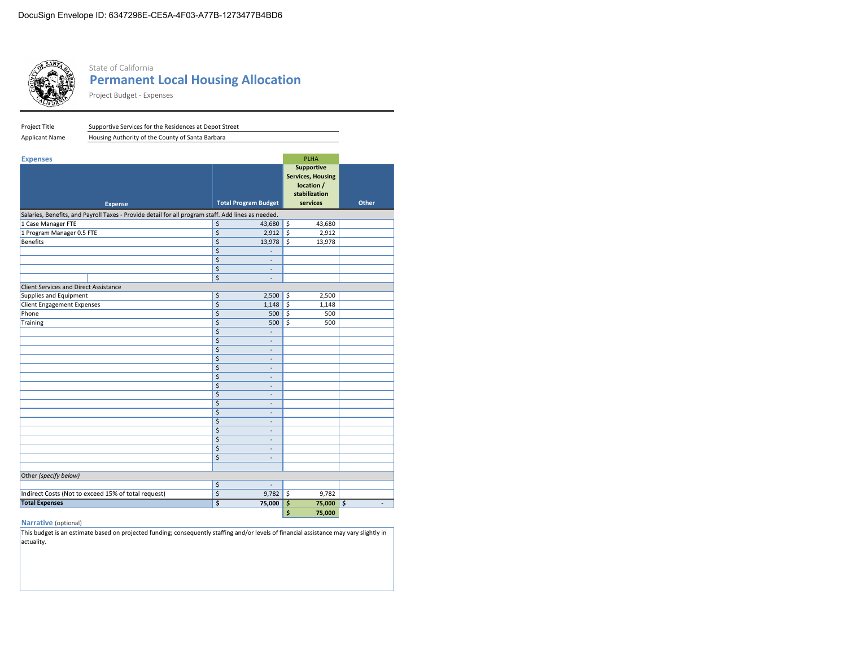

#### State of California **Permanent Local Housing Allocation**

Project Budget - Expenses

| Project Title                                | Supportive Services for the Residences at Depot Street                                             |    |                              |                         |                          |              |
|----------------------------------------------|----------------------------------------------------------------------------------------------------|----|------------------------------|-------------------------|--------------------------|--------------|
| <b>Applicant Name</b>                        | Housing Authority of the County of Santa Barbara                                                   |    |                              |                         |                          |              |
|                                              |                                                                                                    |    |                              |                         |                          |              |
| <b>Expenses</b>                              |                                                                                                    |    |                              |                         | PLHA                     |              |
|                                              |                                                                                                    |    |                              |                         | <b>Supportive</b>        |              |
|                                              |                                                                                                    |    |                              |                         | <b>Services, Housing</b> |              |
|                                              |                                                                                                    |    |                              |                         | location /               |              |
|                                              |                                                                                                    |    |                              |                         | stabilization            |              |
|                                              | <b>Expense</b>                                                                                     |    | <b>Total Program Budget</b>  |                         | services                 | <b>Other</b> |
|                                              | Salaries, Benefits, and Payroll Taxes - Provide detail for all program staff. Add lines as needed. |    |                              |                         |                          |              |
| 1 Case Manager FTE                           |                                                                                                    | \$ | 43,680                       | \$                      | 43,680                   |              |
| 1 Program Manager 0.5 FTE                    |                                                                                                    | \$ | 2,912                        | \$                      | 2,912                    |              |
| <b>Benefits</b>                              |                                                                                                    | \$ | 13,978                       | $\overline{\mathsf{s}}$ | 13,978                   |              |
|                                              |                                                                                                    | \$ | $\overline{\phantom{a}}$     |                         |                          |              |
|                                              |                                                                                                    | \$ | ÷,                           |                         |                          |              |
|                                              |                                                                                                    | \$ | $\overline{\phantom{a}}$     |                         |                          |              |
|                                              |                                                                                                    | \$ | $\overline{\phantom{a}}$     |                         |                          |              |
| <b>Client Services and Direct Assistance</b> |                                                                                                    |    |                              |                         |                          |              |
| Supplies and Equipment                       |                                                                                                    | \$ | 2,500                        | \$                      | 2,500                    |              |
| <b>Client Engagement Expenses</b>            |                                                                                                    | \$ | $1,148$ \$                   |                         | 1,148                    |              |
| Phone                                        |                                                                                                    | \$ | 500                          | \$                      | 500                      |              |
| Training                                     |                                                                                                    | \$ | 500                          | $\overline{\mathsf{s}}$ | 500                      |              |
|                                              |                                                                                                    | \$ |                              |                         |                          |              |
|                                              |                                                                                                    | \$ | $\overline{\phantom{a}}$     |                         |                          |              |
|                                              |                                                                                                    | \$ | $\overline{\phantom{a}}$     |                         |                          |              |
|                                              |                                                                                                    | \$ | ٠                            |                         |                          |              |
|                                              |                                                                                                    | \$ | $\overline{\phantom{a}}$     |                         |                          |              |
|                                              |                                                                                                    | \$ | ٠                            |                         |                          |              |
|                                              |                                                                                                    | \$ | $\overline{\phantom{a}}$     |                         |                          |              |
|                                              |                                                                                                    | \$ | $\overline{\phantom{a}}$     |                         |                          |              |
|                                              |                                                                                                    | \$ | $\overline{\phantom{a}}$     |                         |                          |              |
|                                              |                                                                                                    | \$ | ٠                            |                         |                          |              |
|                                              |                                                                                                    | \$ | ÷,                           |                         |                          |              |
|                                              |                                                                                                    | \$ | $\overline{\phantom{a}}$     |                         |                          |              |
|                                              |                                                                                                    | \$ | $\overline{\phantom{a}}$     |                         |                          |              |
|                                              |                                                                                                    | \$ | $\qquad \qquad \blacksquare$ |                         |                          |              |
|                                              |                                                                                                    | \$ | $\overline{\phantom{a}}$     |                         |                          |              |
|                                              |                                                                                                    |    |                              |                         |                          |              |
| Other (specify below)                        |                                                                                                    |    |                              |                         |                          |              |
|                                              |                                                                                                    | \$ | ÷,                           |                         |                          |              |
|                                              | Indirect Costs (Not to exceed 15% of total request)                                                | \$ | 9,782                        | \$                      | 9,782                    |              |
| <b>Total Expenses</b>                        |                                                                                                    | \$ | 75,000                       | \$                      | 75,000                   | \$<br>٠      |
|                                              |                                                                                                    |    |                              | \$                      | 75,000                   |              |

#### **Narrative** (optional)

This budget is an estimate based on projected funding; consequently staffing and/or levels of financial assistance may vary slightly in actuality.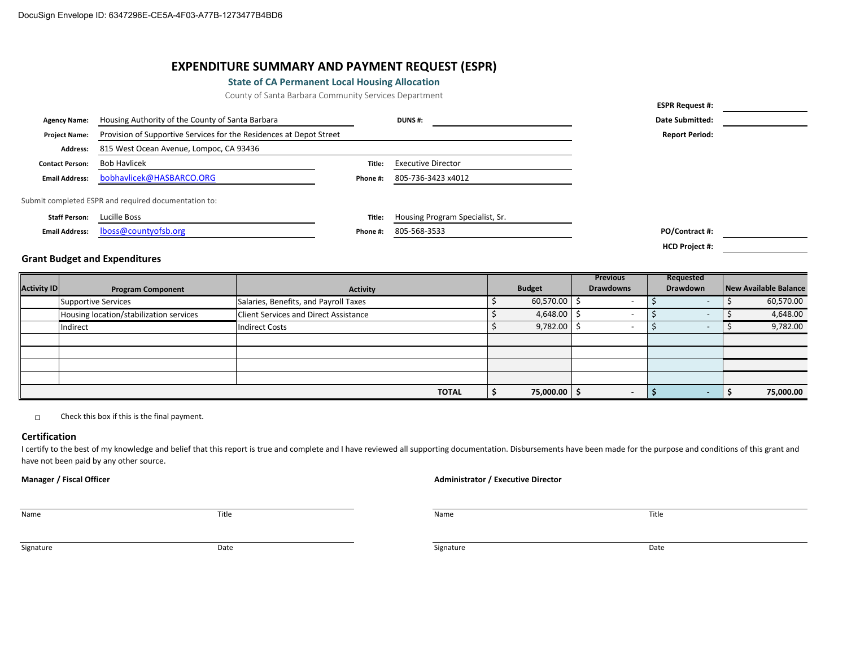#### **EXPENDITURE SUMMARY AND PAYMENT REQUEST (ESPR)**

#### **State of CA Permanent Local Housing Allocation**

County of Santa Barbara Community Services Department

|                        |                                                                     |          |                                 | .                      |  |
|------------------------|---------------------------------------------------------------------|----------|---------------------------------|------------------------|--|
| <b>Agency Name:</b>    | Housing Authority of the County of Santa Barbara                    |          | <b>DUNS#:</b>                   | <b>Date Submitted:</b> |  |
| <b>Project Name:</b>   | Provision of Supportive Services for the Residences at Depot Street |          |                                 | <b>Report Period:</b>  |  |
| <b>Address:</b>        | 815 West Ocean Avenue, Lompoc, CA 93436                             |          |                                 |                        |  |
| <b>Contact Person:</b> | <b>Bob Havlicek</b>                                                 | Title:   | <b>Executive Director</b>       |                        |  |
| <b>Email Address:</b>  | bobhavlicek@HASBARCO.ORG                                            | Phone #: | 805-736-3423 x4012              |                        |  |
|                        | Submit completed ESPR and required documentation to:                |          |                                 |                        |  |
| <b>Staff Person:</b>   | Lucille Boss                                                        | Title:   | Housing Program Specialist, Sr. |                        |  |
| <b>Email Address:</b>  | lboss@countyofsb.org                                                | Phone #: | 805-568-3533                    | PO/Contract #:         |  |
|                        |                                                                     |          |                                 | <b>HCD Project #:</b>  |  |

#### **Grant Budget and Expenditures**

|                    |                                         |                                              |               | <b>Previous</b>  | Requested |                       |
|--------------------|-----------------------------------------|----------------------------------------------|---------------|------------------|-----------|-----------------------|
| <b>Activity ID</b> | <b>Program Component</b>                | Activity                                     | <b>Budget</b> | <b>Drawdowns</b> | Drawdown  | New Available Balance |
|                    | <b>Supportive Services</b>              | Salaries, Benefits, and Payroll Taxes        | 60,570.00     |                  |           | 60,570.00             |
|                    | Housing location/stabilization services | <b>Client Services and Direct Assistance</b> | 4,648.00      |                  |           | 4,648.00              |
|                    | Indirect                                | <b>Indirect Costs</b>                        | 9,782.00      |                  |           | 9,782.00              |
|                    |                                         |                                              |               |                  |           |                       |
|                    |                                         |                                              |               |                  |           |                       |
|                    |                                         |                                              |               |                  |           |                       |
|                    |                                         |                                              |               |                  |           |                       |
|                    |                                         | <b>TOTAL</b>                                 | 75,000.00     |                  |           | 75,000.00             |

Check this box if this is the final payment.  $\Box$ 

#### **Certification**

I certify to the best of my knowledge and belief that this report is true and complete and I have reviewed all supporting documentation. Disbursements have been made for the purpose and conditions of this grant and have not been paid by any other source.

#### **Manager / Fiscal Officer Administrator / Executive Director**

Name and the Second Control of the Second Title Control of the Name and the Name of the Title Control of the Title

**ESPR Request #:**

Signature and the Signature of the Signature of the Signature of the Signature of the Signature of the Signature Date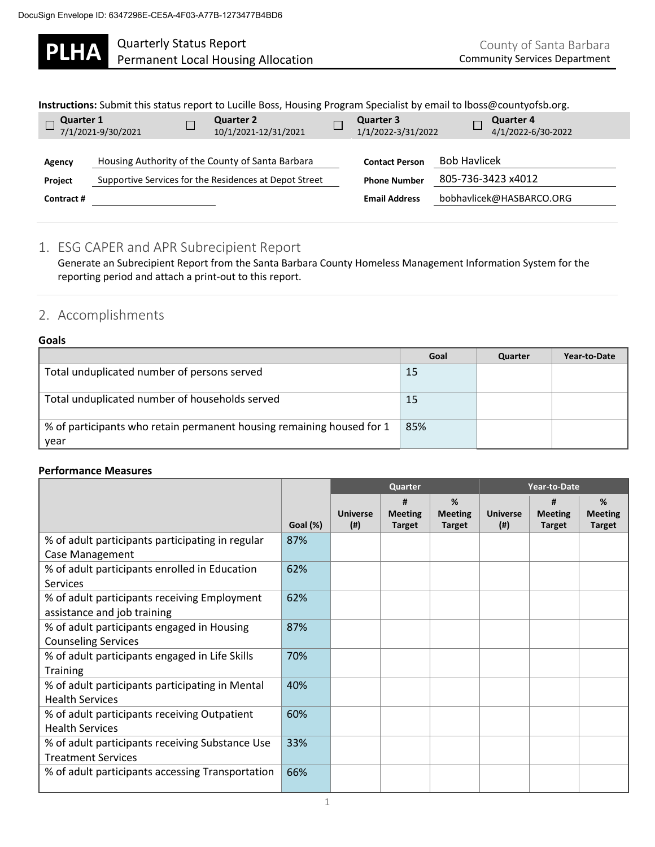**PLHA** Quarterly Status Report<br>
PLHA Permanent Local Housing Allocation

| Instructions: Submit this status report to Lucille Boss, Housing Program Specialist by email to Iboss@countyofsb.org. |  |  |
|-----------------------------------------------------------------------------------------------------------------------|--|--|

| <b>Quarter 1</b><br>7/1/2021-9/30/2021 | $\Box$ | Quarter 2<br>10/1/2021-12/31/2021                                                                          | $\Box$ | <b>Quarter 3</b><br>1/1/2022-3/31/2022                               |                     | <b>Quarter 4</b><br>4/1/2022-6/30-2022         |
|----------------------------------------|--------|------------------------------------------------------------------------------------------------------------|--------|----------------------------------------------------------------------|---------------------|------------------------------------------------|
| Agency<br><b>Project</b><br>Contract # |        | Housing Authority of the County of Santa Barbara<br>Supportive Services for the Residences at Depot Street |        | <b>Contact Person</b><br><b>Phone Number</b><br><b>Email Address</b> | <b>Bob Havlicek</b> | 805-736-3423 x4012<br>bobhavlicek@HASBARCO.ORG |

### 1. ESG CAPER and APR Subrecipient Report

Generate an Subrecipient Report from the Santa Barbara County Homeless Management Information System for the reporting period and attach a print-out to this report.

# 2. Accomplishments

#### **Goals**

|                                                                               | Goal | Quarter | Year-to-Date |
|-------------------------------------------------------------------------------|------|---------|--------------|
| Total unduplicated number of persons served                                   | 15   |         |              |
| Total unduplicated number of households served                                | 15   |         |              |
| % of participants who retain permanent housing remaining housed for 1<br>year | 85%  |         |              |

#### **Performance Measures**

|                                                                              |          | Quarter                   |                                      |                                      | Year-to-Date              |                                      |                                      |
|------------------------------------------------------------------------------|----------|---------------------------|--------------------------------------|--------------------------------------|---------------------------|--------------------------------------|--------------------------------------|
|                                                                              | Goal (%) | <b>Universe</b><br>$($ #) | #<br><b>Meeting</b><br><b>Target</b> | %<br><b>Meeting</b><br><b>Target</b> | <b>Universe</b><br>$($ #) | #<br><b>Meeting</b><br><b>Target</b> | %<br><b>Meeting</b><br><b>Target</b> |
| % of adult participants participating in regular<br>Case Management          | 87%      |                           |                                      |                                      |                           |                                      |                                      |
| % of adult participants enrolled in Education<br><b>Services</b>             | 62%      |                           |                                      |                                      |                           |                                      |                                      |
| % of adult participants receiving Employment<br>assistance and job training  | 62%      |                           |                                      |                                      |                           |                                      |                                      |
| % of adult participants engaged in Housing<br><b>Counseling Services</b>     | 87%      |                           |                                      |                                      |                           |                                      |                                      |
| % of adult participants engaged in Life Skills<br><b>Training</b>            | 70%      |                           |                                      |                                      |                           |                                      |                                      |
| % of adult participants participating in Mental<br><b>Health Services</b>    | 40%      |                           |                                      |                                      |                           |                                      |                                      |
| % of adult participants receiving Outpatient<br><b>Health Services</b>       | 60%      |                           |                                      |                                      |                           |                                      |                                      |
| % of adult participants receiving Substance Use<br><b>Treatment Services</b> | 33%      |                           |                                      |                                      |                           |                                      |                                      |
| % of adult participants accessing Transportation                             | 66%      |                           |                                      |                                      |                           |                                      |                                      |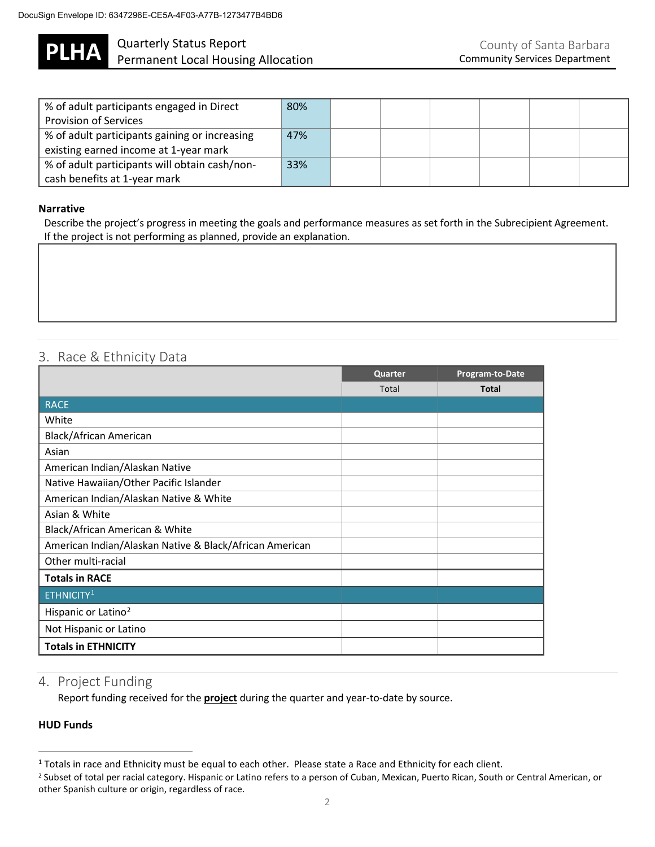

# **PLHA** Quarterly Status Report<br>
PLHA Permanent Local Housing Allocation

| % of adult participants engaged in Direct     | 80% |  |  |  |
|-----------------------------------------------|-----|--|--|--|
| <b>Provision of Services</b>                  |     |  |  |  |
| % of adult participants gaining or increasing | 47% |  |  |  |
| existing earned income at 1-year mark         |     |  |  |  |
| % of adult participants will obtain cash/non- | 33% |  |  |  |
| cash benefits at 1-year mark                  |     |  |  |  |

#### **Narrative**

Describe the project's progress in meeting the goals and performance measures as set forth in the Subrecipient Agreement. If the project is not performing as planned, provide an explanation.

# 3. Race & Ethnicity Data

|                                                         | Quarter | Program-to-Date |
|---------------------------------------------------------|---------|-----------------|
|                                                         | Total   | <b>Total</b>    |
| RACE                                                    |         |                 |
| White                                                   |         |                 |
| Black/African American                                  |         |                 |
| Asian                                                   |         |                 |
| American Indian/Alaskan Native                          |         |                 |
| Native Hawaiian/Other Pacific Islander                  |         |                 |
| American Indian/Alaskan Native & White                  |         |                 |
| Asian & White                                           |         |                 |
| Black/African American & White                          |         |                 |
| American Indian/Alaskan Native & Black/African American |         |                 |
| Other multi-racial                                      |         |                 |
| <b>Totals in RACE</b>                                   |         |                 |
| ETHNICITY <sup>1</sup>                                  |         |                 |
| Hispanic or Latino <sup>2</sup>                         |         |                 |
| Not Hispanic or Latino                                  |         |                 |
| <b>Totals in ETHNICITY</b>                              |         |                 |

## 4. Project Funding

Report funding received for the **project** during the quarter and year-to-date by source.

#### **HUD Funds**

 $1$  Totals in race and Ethnicity must be equal to each other. Please state a Race and Ethnicity for each client.

<sup>&</sup>lt;sup>2</sup> Subset of total per racial category. Hispanic or Latino refers to a person of Cuban, Mexican, Puerto Rican, South or Central American, or other Spanish culture or origin, regardless of race.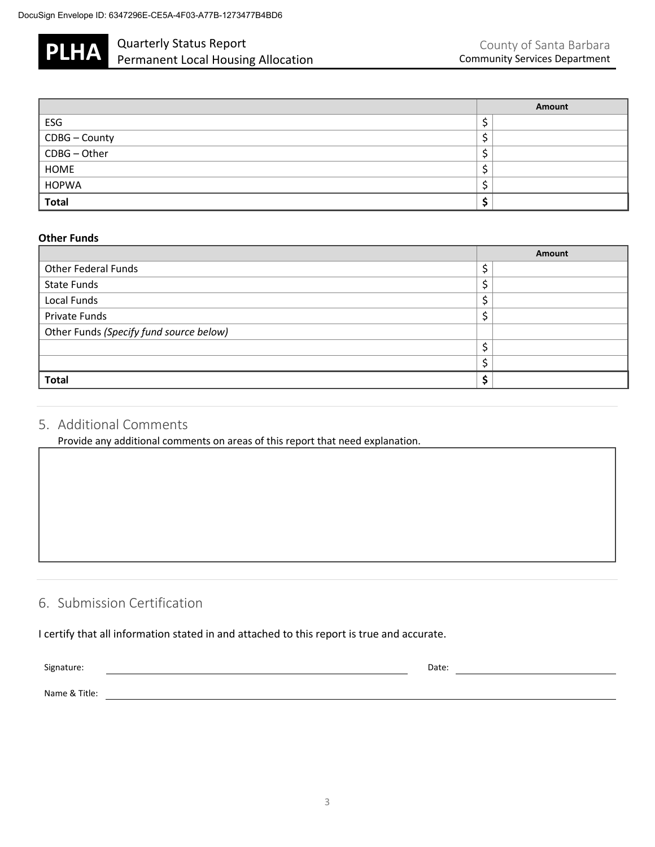

# **PLHA** Quarterly Status Report<br>
PLHA Permanent Local Housing Allocation

|                             | Amount |
|-----------------------------|--------|
| ESG                         |        |
| CDBG - County               | ۔      |
| CDBG-Other                  |        |
| <b>HOME</b>                 |        |
| <b>HOPWA</b>                |        |
| $\overline{\mathsf{Total}}$ |        |

#### **Other Funds**

|                                         | Amount |
|-----------------------------------------|--------|
| <b>Other Federal Funds</b>              | Ċ<br>7 |
| <b>State Funds</b>                      | ċ<br>ڔ |
| Local Funds                             | c<br>⊋ |
| Private Funds                           | c<br>پ |
| Other Funds (Specify fund source below) |        |
|                                         | ċ<br>پ |
|                                         | ċ      |
| <b>Total</b>                            | e      |

# 5. Additional Comments

Provide any additional comments on areas of this report that need explanation.

## 6. Submission Certification

I certify that all information stated in and attached to this report is true and accurate.

| Signature: |  |
|------------|--|
|------------|--|

Signature: Date: Date: Date: Date: Date: Date: Date: Date: Date: Date: Date: Date: Date: Date: Date: Date: Date: Date: Date: Date: Date: Date: Date: Date: Date: Date: Date: Date: Date: Date: Date: Date: Date: Date: Date: D

Name & Title: